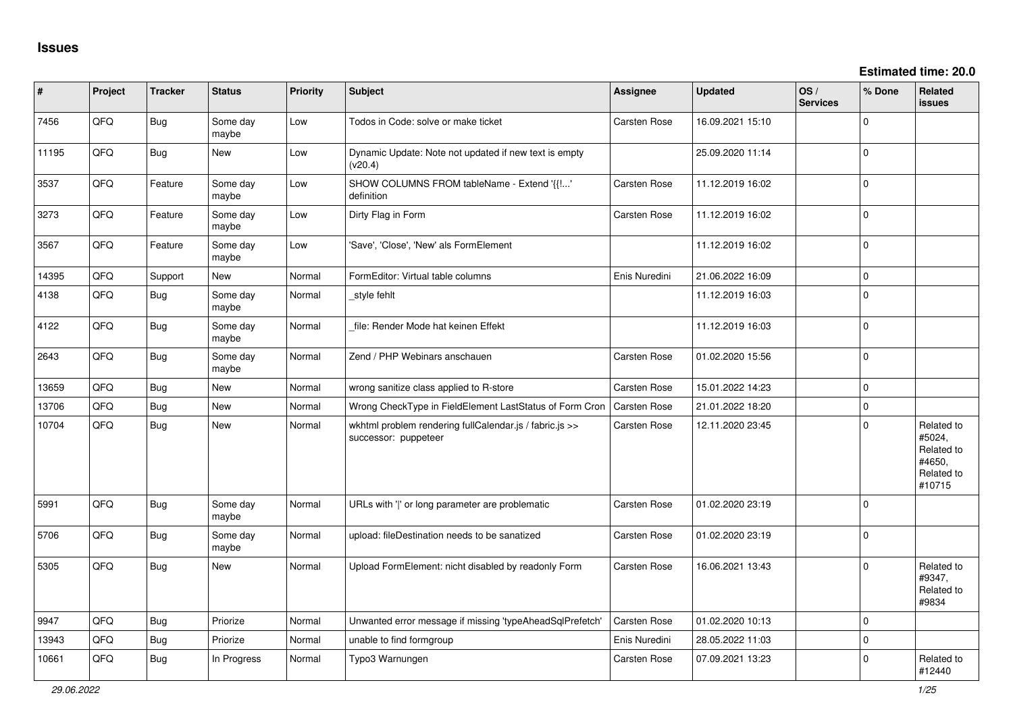| #     | Project | <b>Tracker</b> | <b>Status</b>     | <b>Priority</b> | <b>Subject</b>                                                                  | <b>Assignee</b>     | <b>Updated</b>   | OS/<br><b>Services</b> | % Done       | <b>Related</b><br><b>issues</b>                                      |
|-------|---------|----------------|-------------------|-----------------|---------------------------------------------------------------------------------|---------------------|------------------|------------------------|--------------|----------------------------------------------------------------------|
| 7456  | QFQ     | Bug            | Some day<br>maybe | Low             | Todos in Code: solve or make ticket                                             | Carsten Rose        | 16.09.2021 15:10 |                        | $\Omega$     |                                                                      |
| 11195 | QFQ     | Bug            | New               | Low             | Dynamic Update: Note not updated if new text is empty<br>(v20.4)                |                     | 25.09.2020 11:14 |                        | 0            |                                                                      |
| 3537  | QFQ     | Feature        | Some day<br>maybe | Low             | SHOW COLUMNS FROM tableName - Extend '{{!'<br>definition                        | <b>Carsten Rose</b> | 11.12.2019 16:02 |                        | $\mathbf{0}$ |                                                                      |
| 3273  | QFQ     | Feature        | Some day<br>maybe | Low             | Dirty Flag in Form                                                              | Carsten Rose        | 11.12.2019 16:02 |                        | 0            |                                                                      |
| 3567  | QFQ     | Feature        | Some day<br>maybe | Low             | 'Save', 'Close', 'New' als FormElement                                          |                     | 11.12.2019 16:02 |                        | $\mathbf{0}$ |                                                                      |
| 14395 | QFQ     | Support        | <b>New</b>        | Normal          | FormEditor: Virtual table columns                                               | Enis Nuredini       | 21.06.2022 16:09 |                        | 0            |                                                                      |
| 4138  | QFQ     | Bug            | Some dav<br>maybe | Normal          | style fehlt                                                                     |                     | 11.12.2019 16:03 |                        | $\Omega$     |                                                                      |
| 4122  | QFQ     | <b>Bug</b>     | Some day<br>maybe | Normal          | file: Render Mode hat keinen Effekt                                             |                     | 11.12.2019 16:03 |                        | $\mathbf{0}$ |                                                                      |
| 2643  | QFQ     | Bug            | Some day<br>maybe | Normal          | Zend / PHP Webinars anschauen                                                   | Carsten Rose        | 01.02.2020 15:56 |                        | 0            |                                                                      |
| 13659 | QFQ     | Bug            | New               | Normal          | wrong sanitize class applied to R-store                                         | <b>Carsten Rose</b> | 15.01.2022 14:23 |                        | 0            |                                                                      |
| 13706 | QFQ     | <b>Bug</b>     | New               | Normal          | Wrong CheckType in FieldElement LastStatus of Form Cron                         | <b>Carsten Rose</b> | 21.01.2022 18:20 |                        | $\mathbf 0$  |                                                                      |
| 10704 | QFQ     | Bug            | New               | Normal          | wkhtml problem rendering fullCalendar.js / fabric.js >><br>successor: puppeteer | Carsten Rose        | 12.11.2020 23:45 |                        | 0            | Related to<br>#5024,<br>Related to<br>#4650,<br>Related to<br>#10715 |
| 5991  | QFQ     | Bug            | Some day<br>maybe | Normal          | URLs with ' ' or long parameter are problematic                                 | Carsten Rose        | 01.02.2020 23:19 |                        | $\Omega$     |                                                                      |
| 5706  | QFQ     | Bug            | Some day<br>maybe | Normal          | upload: fileDestination needs to be sanatized                                   | Carsten Rose        | 01.02.2020 23:19 |                        | 0            |                                                                      |
| 5305  | QFQ     | Bug            | <b>New</b>        | Normal          | Upload FormElement: nicht disabled by readonly Form                             | <b>Carsten Rose</b> | 16.06.2021 13:43 |                        | $\mathbf{0}$ | Related to<br>#9347,<br>Related to<br>#9834                          |
| 9947  | QFQ     | Bug            | Priorize          | Normal          | Unwanted error message if missing 'typeAheadSqlPrefetch'                        | <b>Carsten Rose</b> | 01.02.2020 10:13 |                        | 0            |                                                                      |
| 13943 | QFQ     | <b>Bug</b>     | Priorize          | Normal          | unable to find formgroup                                                        | Enis Nuredini       | 28.05.2022 11:03 |                        | $\mathbf 0$  |                                                                      |
| 10661 | QFQ     | Bug            | In Progress       | Normal          | Typo3 Warnungen                                                                 | <b>Carsten Rose</b> | 07.09.2021 13:23 |                        | $\Omega$     | Related to<br>#12440                                                 |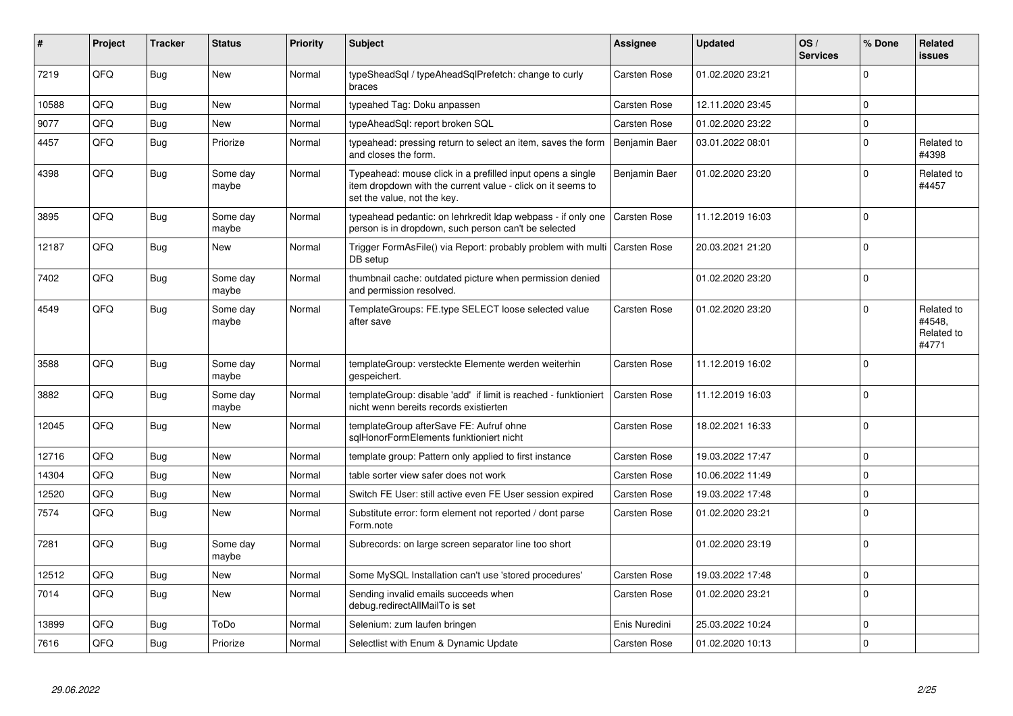| #     | Project    | <b>Tracker</b> | <b>Status</b>     | <b>Priority</b> | <b>Subject</b>                                                                                                                                           | <b>Assignee</b>     | <b>Updated</b>   | OS/<br><b>Services</b> | % Done      | Related<br><b>issues</b>                    |
|-------|------------|----------------|-------------------|-----------------|----------------------------------------------------------------------------------------------------------------------------------------------------------|---------------------|------------------|------------------------|-------------|---------------------------------------------|
| 7219  | QFQ        | Bug            | New               | Normal          | typeSheadSql / typeAheadSqlPrefetch: change to curly<br>braces                                                                                           | Carsten Rose        | 01.02.2020 23:21 |                        | $\Omega$    |                                             |
| 10588 | QFQ        | Bug            | <b>New</b>        | Normal          | typeahed Tag: Doku anpassen                                                                                                                              | Carsten Rose        | 12.11.2020 23:45 |                        | $\Omega$    |                                             |
| 9077  | QFQ        | Bug            | <b>New</b>        | Normal          | typeAheadSql: report broken SQL                                                                                                                          | <b>Carsten Rose</b> | 01.02.2020 23:22 |                        | $\Omega$    |                                             |
| 4457  | QFQ        | Bug            | Priorize          | Normal          | typeahead: pressing return to select an item, saves the form<br>and closes the form.                                                                     | Benjamin Baer       | 03.01.2022 08:01 |                        | $\Omega$    | Related to<br>#4398                         |
| 4398  | QFQ        | Bug            | Some day<br>maybe | Normal          | Typeahead: mouse click in a prefilled input opens a single<br>item dropdown with the current value - click on it seems to<br>set the value, not the key. | Benjamin Baer       | 01.02.2020 23:20 |                        | $\Omega$    | Related to<br>#4457                         |
| 3895  | QFQ        | Bug            | Some day<br>maybe | Normal          | typeahead pedantic: on lehrkredit Idap webpass - if only one<br>person is in dropdown, such person can't be selected                                     | <b>Carsten Rose</b> | 11.12.2019 16:03 |                        | $\Omega$    |                                             |
| 12187 | QFQ        | Bug            | <b>New</b>        | Normal          | Trigger FormAsFile() via Report: probably problem with multi<br>DB setup                                                                                 | <b>Carsten Rose</b> | 20.03.2021 21:20 |                        | $\Omega$    |                                             |
| 7402  | QFQ        | Bug            | Some day<br>maybe | Normal          | thumbnail cache: outdated picture when permission denied<br>and permission resolved.                                                                     |                     | 01.02.2020 23:20 |                        | $\mathbf 0$ |                                             |
| 4549  | QFQ        | Bug            | Some day<br>maybe | Normal          | TemplateGroups: FE.type SELECT loose selected value<br>after save                                                                                        | Carsten Rose        | 01.02.2020 23:20 |                        | $\Omega$    | Related to<br>#4548.<br>Related to<br>#4771 |
| 3588  | QFQ        | <b>Bug</b>     | Some day<br>maybe | Normal          | templateGroup: versteckte Elemente werden weiterhin<br>gespeichert.                                                                                      | Carsten Rose        | 11.12.2019 16:02 |                        | $\Omega$    |                                             |
| 3882  | <b>OFO</b> | Bug            | Some day<br>maybe | Normal          | templateGroup: disable 'add' if limit is reached - funktioniert<br>nicht wenn bereits records existierten                                                | Carsten Rose        | 11.12.2019 16:03 |                        | $\Omega$    |                                             |
| 12045 | QFQ        | <b>Bug</b>     | <b>New</b>        | Normal          | templateGroup afterSave FE: Aufruf ohne<br>sglHonorFormElements funktioniert nicht                                                                       | Carsten Rose        | 18.02.2021 16:33 |                        | $\Omega$    |                                             |
| 12716 | QFQ        | Bug            | <b>New</b>        | Normal          | template group: Pattern only applied to first instance                                                                                                   | Carsten Rose        | 19.03.2022 17:47 |                        | $\Omega$    |                                             |
| 14304 | QFQ        | Bug            | <b>New</b>        | Normal          | table sorter view safer does not work                                                                                                                    | Carsten Rose        | 10.06.2022 11:49 |                        | $\Omega$    |                                             |
| 12520 | QFQ        | <b>Bug</b>     | <b>New</b>        | Normal          | Switch FE User: still active even FE User session expired                                                                                                | Carsten Rose        | 19.03.2022 17:48 |                        | $\Omega$    |                                             |
| 7574  | QFQ        | Bug            | <b>New</b>        | Normal          | Substitute error: form element not reported / dont parse<br>Form.note                                                                                    | Carsten Rose        | 01.02.2020 23:21 |                        | $\Omega$    |                                             |
| 7281  | QFQ        | Bug            | Some day<br>maybe | Normal          | Subrecords: on large screen separator line too short                                                                                                     |                     | 01.02.2020 23:19 |                        | $\mathbf 0$ |                                             |
| 12512 | QFQ        | Bug            | New               | Normal          | Some MySQL Installation can't use 'stored procedures'                                                                                                    | Carsten Rose        | 19.03.2022 17:48 |                        | $\Omega$    |                                             |
| 7014  | QFQ        | Bug            | <b>New</b>        | Normal          | Sending invalid emails succeeds when<br>debug.redirectAllMailTo is set                                                                                   | <b>Carsten Rose</b> | 01.02.2020 23:21 |                        | $\Omega$    |                                             |
| 13899 | QFQ        | Bug            | ToDo              | Normal          | Selenium: zum laufen bringen                                                                                                                             | Enis Nuredini       | 25.03.2022 10:24 |                        | $\Omega$    |                                             |
| 7616  | QFQ        | Bug            | Priorize          | Normal          | Selectlist with Enum & Dynamic Update                                                                                                                    | Carsten Rose        | 01.02.2020 10:13 |                        | $\Omega$    |                                             |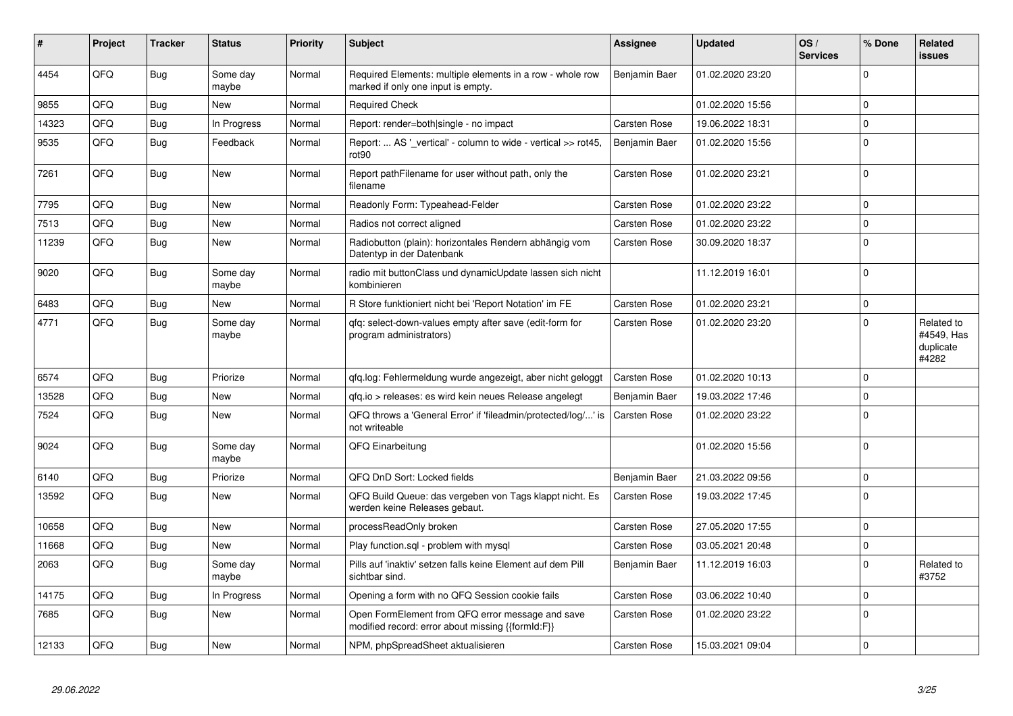| ∦     | Project    | Tracker    | <b>Status</b>     | <b>Priority</b> | <b>Subject</b>                                                                                        | Assignee            | <b>Updated</b>   | OS/<br><b>Services</b> | % Done      | Related<br><b>issues</b>                       |
|-------|------------|------------|-------------------|-----------------|-------------------------------------------------------------------------------------------------------|---------------------|------------------|------------------------|-------------|------------------------------------------------|
| 4454  | QFQ        | Bug        | Some day<br>maybe | Normal          | Required Elements: multiple elements in a row - whole row<br>marked if only one input is empty.       | Benjamin Baer       | 01.02.2020 23:20 |                        | $\Omega$    |                                                |
| 9855  | QFQ        | Bug        | New               | Normal          | <b>Required Check</b>                                                                                 |                     | 01.02.2020 15:56 |                        | $\Omega$    |                                                |
| 14323 | QFQ        | <b>Bug</b> | In Progress       | Normal          | Report: render=both single - no impact                                                                | Carsten Rose        | 19.06.2022 18:31 |                        | $\Omega$    |                                                |
| 9535  | QFQ        | Bug        | Feedback          | Normal          | Report:  AS '_vertical' - column to wide - vertical >> rot45,<br>rot90                                | Benjamin Baer       | 01.02.2020 15:56 |                        | $\Omega$    |                                                |
| 7261  | QFQ        | Bug        | New               | Normal          | Report pathFilename for user without path, only the<br>filename                                       | Carsten Rose        | 01.02.2020 23:21 |                        | $\Omega$    |                                                |
| 7795  | QFQ        | <b>Bug</b> | New               | Normal          | Readonly Form: Typeahead-Felder                                                                       | <b>Carsten Rose</b> | 01.02.2020 23:22 |                        | $\mathbf 0$ |                                                |
| 7513  | QFQ        | Bug        | <b>New</b>        | Normal          | Radios not correct aligned                                                                            | Carsten Rose        | 01.02.2020 23:22 |                        | $\Omega$    |                                                |
| 11239 | QFQ        | <b>Bug</b> | <b>New</b>        | Normal          | Radiobutton (plain): horizontales Rendern abhängig vom<br>Datentyp in der Datenbank                   | Carsten Rose        | 30.09.2020 18:37 |                        | $\Omega$    |                                                |
| 9020  | QFQ        | Bug        | Some day<br>maybe | Normal          | radio mit buttonClass und dynamicUpdate lassen sich nicht<br>kombinieren                              |                     | 11.12.2019 16:01 |                        | $\Omega$    |                                                |
| 6483  | <b>OFO</b> | Bug        | New               | Normal          | R Store funktioniert nicht bei 'Report Notation' im FE                                                | <b>Carsten Rose</b> | 01.02.2020 23:21 |                        | $\Omega$    |                                                |
| 4771  | QFQ        | Bug        | Some day<br>maybe | Normal          | gfg: select-down-values empty after save (edit-form for<br>program administrators)                    | Carsten Rose        | 01.02.2020 23:20 |                        | $\Omega$    | Related to<br>#4549, Has<br>duplicate<br>#4282 |
| 6574  | QFQ        | Bug        | Priorize          | Normal          | gfg.log: Fehlermeldung wurde angezeigt, aber nicht geloggt                                            | <b>Carsten Rose</b> | 01.02.2020 10:13 |                        | $\Omega$    |                                                |
| 13528 | QFQ        | Bug        | <b>New</b>        | Normal          | qfq.io > releases: es wird kein neues Release angelegt                                                | Benjamin Baer       | 19.03.2022 17:46 |                        | $\Omega$    |                                                |
| 7524  | QFQ        | Bug        | New               | Normal          | QFQ throws a 'General Error' if 'fileadmin/protected/log/' is<br>not writeable                        | <b>Carsten Rose</b> | 01.02.2020 23:22 |                        | $\Omega$    |                                                |
| 9024  | QFQ        | Bug        | Some day<br>maybe | Normal          | QFQ Einarbeitung                                                                                      |                     | 01.02.2020 15:56 |                        | $\mathbf 0$ |                                                |
| 6140  | QFQ        | Bug        | Priorize          | Normal          | QFQ DnD Sort: Locked fields                                                                           | Benjamin Baer       | 21.03.2022 09:56 |                        | $\mathbf 0$ |                                                |
| 13592 | QFQ        | Bug        | <b>New</b>        | Normal          | QFQ Build Queue: das vergeben von Tags klappt nicht. Es<br>werden keine Releases gebaut.              | Carsten Rose        | 19.03.2022 17:45 |                        | $\Omega$    |                                                |
| 10658 | QFQ        | <b>Bug</b> | <b>New</b>        | Normal          | processReadOnly broken                                                                                | Carsten Rose        | 27.05.2020 17:55 |                        | $\Omega$    |                                                |
| 11668 | QFQ        | Bug        | New               | Normal          | Play function.sql - problem with mysql                                                                | Carsten Rose        | 03.05.2021 20:48 |                        | $\Omega$    |                                                |
| 2063  | QFQ        | Bug        | Some day<br>maybe | Normal          | Pills auf 'inaktiv' setzen falls keine Element auf dem Pill<br>sichtbar sind.                         | Benjamin Baer       | 11.12.2019 16:03 |                        | $\Omega$    | Related to<br>#3752                            |
| 14175 | QFQ        | Bug        | In Progress       | Normal          | Opening a form with no QFQ Session cookie fails                                                       | Carsten Rose        | 03.06.2022 10:40 |                        | $\Omega$    |                                                |
| 7685  | QFQ        | Bug        | New               | Normal          | Open FormElement from QFQ error message and save<br>modified record: error about missing {{formId:F}} | Carsten Rose        | 01.02.2020 23:22 |                        | $\mathbf 0$ |                                                |
| 12133 | QFQ        | Bug        | New               | Normal          | NPM, phpSpreadSheet aktualisieren                                                                     | Carsten Rose        | 15.03.2021 09:04 |                        | $\mathbf 0$ |                                                |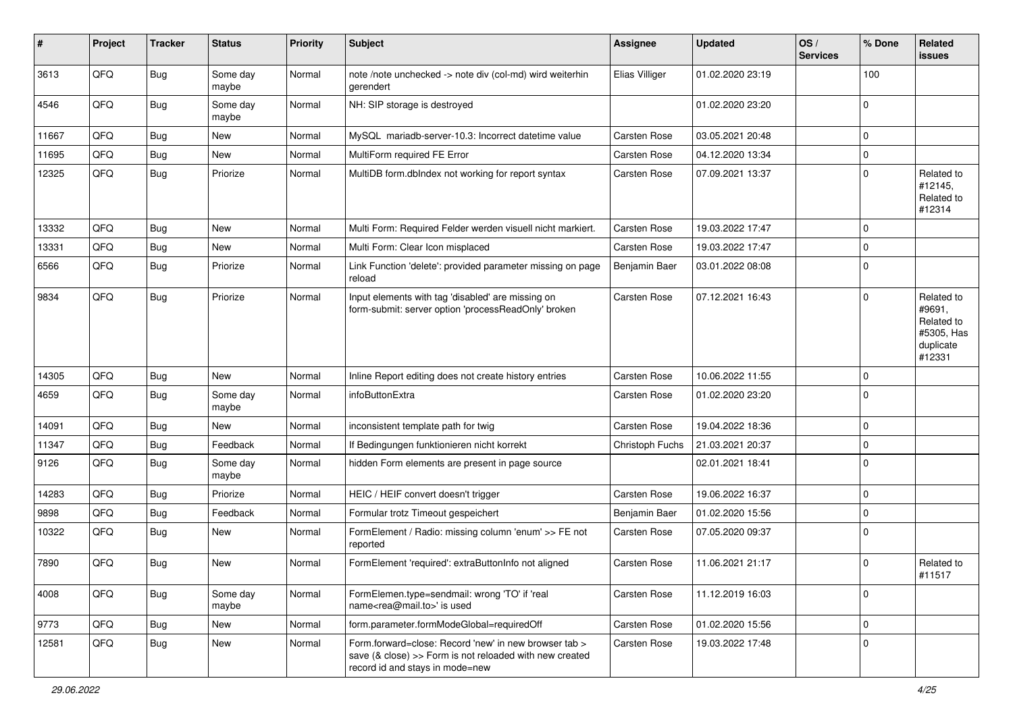| #     | Project | <b>Tracker</b> | <b>Status</b>     | <b>Priority</b> | Subject                                                                                                                                             | Assignee        | <b>Updated</b>   | OS/<br><b>Services</b> | % Done      | Related<br><b>issues</b>                                                |
|-------|---------|----------------|-------------------|-----------------|-----------------------------------------------------------------------------------------------------------------------------------------------------|-----------------|------------------|------------------------|-------------|-------------------------------------------------------------------------|
| 3613  | QFQ     | Bug            | Some day<br>maybe | Normal          | note /note unchecked -> note div (col-md) wird weiterhin<br>gerendert                                                                               | Elias Villiger  | 01.02.2020 23:19 |                        | 100         |                                                                         |
| 4546  | QFQ     | Bug            | Some day<br>maybe | Normal          | NH: SIP storage is destroyed                                                                                                                        |                 | 01.02.2020 23:20 |                        | $\mathbf 0$ |                                                                         |
| 11667 | QFQ     | Bug            | New               | Normal          | MySQL mariadb-server-10.3: Incorrect datetime value                                                                                                 | Carsten Rose    | 03.05.2021 20:48 |                        | $\Omega$    |                                                                         |
| 11695 | QFQ     | <b>Bug</b>     | New               | Normal          | MultiForm required FE Error                                                                                                                         | Carsten Rose    | 04.12.2020 13:34 |                        | $\mathbf 0$ |                                                                         |
| 12325 | QFQ     | Bug            | Priorize          | Normal          | MultiDB form.dblndex not working for report syntax                                                                                                  | Carsten Rose    | 07.09.2021 13:37 |                        | $\mathbf 0$ | Related to<br>#12145,<br>Related to<br>#12314                           |
| 13332 | QFQ     | <b>Bug</b>     | <b>New</b>        | Normal          | Multi Form: Required Felder werden visuell nicht markiert.                                                                                          | Carsten Rose    | 19.03.2022 17:47 |                        | $\Omega$    |                                                                         |
| 13331 | QFQ     | <b>Bug</b>     | New               | Normal          | Multi Form: Clear Icon misplaced                                                                                                                    | Carsten Rose    | 19.03.2022 17:47 |                        | $\mathbf 0$ |                                                                         |
| 6566  | QFQ     | <b>Bug</b>     | Priorize          | Normal          | Link Function 'delete': provided parameter missing on page<br>reload                                                                                | Benjamin Baer   | 03.01.2022 08:08 |                        | $\Omega$    |                                                                         |
| 9834  | QFQ     | Bug            | Priorize          | Normal          | Input elements with tag 'disabled' are missing on<br>form-submit: server option 'processReadOnly' broken                                            | Carsten Rose    | 07.12.2021 16:43 |                        | $\Omega$    | Related to<br>#9691,<br>Related to<br>#5305, Has<br>duplicate<br>#12331 |
| 14305 | QFQ     | <b>Bug</b>     | New               | Normal          | Inline Report editing does not create history entries                                                                                               | Carsten Rose    | 10.06.2022 11:55 |                        | $\mathbf 0$ |                                                                         |
| 4659  | QFQ     | <b>Bug</b>     | Some day<br>maybe | Normal          | infoButtonExtra                                                                                                                                     | Carsten Rose    | 01.02.2020 23:20 |                        | $\Omega$    |                                                                         |
| 14091 | QFQ     | Bug            | New               | Normal          | inconsistent template path for twig                                                                                                                 | Carsten Rose    | 19.04.2022 18:36 |                        | $\mathbf 0$ |                                                                         |
| 11347 | QFQ     | <b>Bug</b>     | Feedback          | Normal          | If Bedingungen funktionieren nicht korrekt                                                                                                          | Christoph Fuchs | 21.03.2021 20:37 |                        | $\mathbf 0$ |                                                                         |
| 9126  | QFQ     | <b>Bug</b>     | Some day<br>maybe | Normal          | hidden Form elements are present in page source                                                                                                     |                 | 02.01.2021 18:41 |                        | 0           |                                                                         |
| 14283 | QFQ     | Bug            | Priorize          | Normal          | HEIC / HEIF convert doesn't trigger                                                                                                                 | Carsten Rose    | 19.06.2022 16:37 |                        | $\mathbf 0$ |                                                                         |
| 9898  | QFQ     | Bug            | Feedback          | Normal          | Formular trotz Timeout gespeichert                                                                                                                  | Benjamin Baer   | 01.02.2020 15:56 |                        | $\Omega$    |                                                                         |
| 10322 | QFQ     | Bug            | New               | Normal          | FormElement / Radio: missing column 'enum' >> FE not<br>reported                                                                                    | Carsten Rose    | 07.05.2020 09:37 |                        | $\Omega$    |                                                                         |
| 7890  | QFQ     | Bug            | New               | Normal          | FormElement 'required': extraButtonInfo not aligned                                                                                                 | Carsten Rose    | 11.06.2021 21:17 |                        | $\Omega$    | Related to<br>#11517                                                    |
| 4008  | QFQ     | <b>Bug</b>     | Some day<br>maybe | Normal          | FormElemen.type=sendmail: wrong 'TO' if 'real<br>name <rea@mail.to>' is used</rea@mail.to>                                                          | Carsten Rose    | 11.12.2019 16:03 |                        | 0           |                                                                         |
| 9773  | QFQ     | <b>Bug</b>     | New               | Normal          | form.parameter.formModeGlobal=requiredOff                                                                                                           | Carsten Rose    | 01.02.2020 15:56 |                        | $\mathbf 0$ |                                                                         |
| 12581 | QFQ     | Bug            | New               | Normal          | Form.forward=close: Record 'new' in new browser tab ><br>save (& close) >> Form is not reloaded with new created<br>record id and stays in mode=new | Carsten Rose    | 19.03.2022 17:48 |                        | 0           |                                                                         |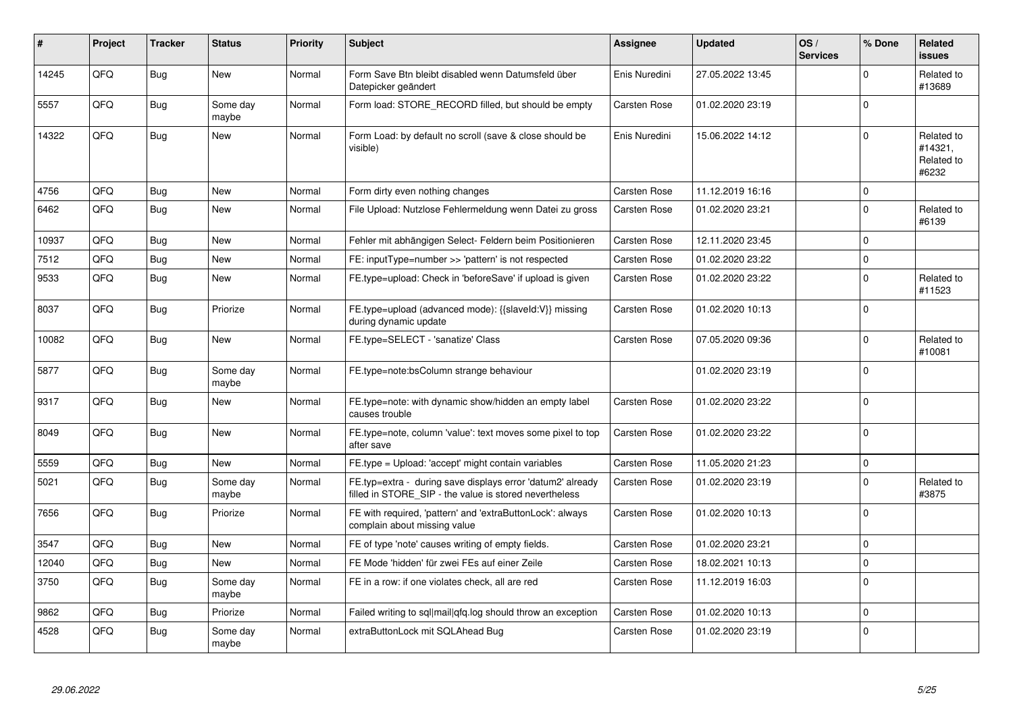| #     | Project    | <b>Tracker</b> | <b>Status</b>     | <b>Priority</b> | <b>Subject</b>                                                                                                       | Assignee            | <b>Updated</b>   | OS/<br><b>Services</b> | % Done      | <b>Related</b><br><b>issues</b>              |
|-------|------------|----------------|-------------------|-----------------|----------------------------------------------------------------------------------------------------------------------|---------------------|------------------|------------------------|-------------|----------------------------------------------|
| 14245 | QFQ        | <b>Bug</b>     | <b>New</b>        | Normal          | Form Save Btn bleibt disabled wenn Datumsfeld über<br>Datepicker geändert                                            | Enis Nuredini       | 27.05.2022 13:45 |                        | $\Omega$    | Related to<br>#13689                         |
| 5557  | QFQ        | Bug            | Some day<br>maybe | Normal          | Form load: STORE RECORD filled, but should be empty                                                                  | Carsten Rose        | 01.02.2020 23:19 |                        | $\Omega$    |                                              |
| 14322 | QFQ        | Bug            | <b>New</b>        | Normal          | Form Load: by default no scroll (save & close should be<br>visible)                                                  | Enis Nuredini       | 15.06.2022 14:12 |                        | $\Omega$    | Related to<br>#14321.<br>Related to<br>#6232 |
| 4756  | QFQ        | Bug            | <b>New</b>        | Normal          | Form dirty even nothing changes                                                                                      | Carsten Rose        | 11.12.2019 16:16 |                        | $\mathbf 0$ |                                              |
| 6462  | QFQ        | Bug            | <b>New</b>        | Normal          | File Upload: Nutzlose Fehlermeldung wenn Datei zu gross                                                              | <b>Carsten Rose</b> | 01.02.2020 23:21 |                        | $\Omega$    | Related to<br>#6139                          |
| 10937 | QFQ        | Bug            | <b>New</b>        | Normal          | Fehler mit abhängigen Select- Feldern beim Positionieren                                                             | <b>Carsten Rose</b> | 12.11.2020 23:45 |                        | $\Omega$    |                                              |
| 7512  | QFQ        | Bug            | <b>New</b>        | Normal          | FE: inputType=number >> 'pattern' is not respected                                                                   | <b>Carsten Rose</b> | 01.02.2020 23:22 |                        | $\Omega$    |                                              |
| 9533  | QFQ        | Bug            | New               | Normal          | FE.type=upload: Check in 'beforeSave' if upload is given                                                             | <b>Carsten Rose</b> | 01.02.2020 23:22 |                        | $\Omega$    | Related to<br>#11523                         |
| 8037  | QFQ        | Bug            | Priorize          | Normal          | FE.type=upload (advanced mode): {{slaveId:V}} missing<br>during dynamic update                                       | Carsten Rose        | 01.02.2020 10:13 |                        | $\Omega$    |                                              |
| 10082 | QFQ        | Bug            | <b>New</b>        | Normal          | FE.type=SELECT - 'sanatize' Class                                                                                    | <b>Carsten Rose</b> | 07.05.2020 09:36 |                        | $\Omega$    | Related to<br>#10081                         |
| 5877  | QFQ        | Bug            | Some day<br>maybe | Normal          | FE.type=note:bsColumn strange behaviour                                                                              |                     | 01.02.2020 23:19 |                        | $\Omega$    |                                              |
| 9317  | QFQ        | Bug            | <b>New</b>        | Normal          | FE.type=note: with dynamic show/hidden an empty label<br>causes trouble                                              | Carsten Rose        | 01.02.2020 23:22 |                        | $\Omega$    |                                              |
| 8049  | QFQ        | Bug            | <b>New</b>        | Normal          | FE.type=note, column 'value': text moves some pixel to top<br>after save                                             | Carsten Rose        | 01.02.2020 23:22 |                        | $\Omega$    |                                              |
| 5559  | QFQ        | <b>Bug</b>     | <b>New</b>        | Normal          | FE.type = Upload: 'accept' might contain variables                                                                   | Carsten Rose        | 11.05.2020 21:23 |                        | $\Omega$    |                                              |
| 5021  | QFQ        | Bug            | Some day<br>maybe | Normal          | FE.typ=extra - during save displays error 'datum2' already<br>filled in STORE SIP - the value is stored nevertheless | Carsten Rose        | 01.02.2020 23:19 |                        | $\Omega$    | Related to<br>#3875                          |
| 7656  | QFQ        | <b>Bug</b>     | Priorize          | Normal          | FE with required, 'pattern' and 'extraButtonLock': always<br>complain about missing value                            | <b>Carsten Rose</b> | 01.02.2020 10:13 |                        | $\Omega$    |                                              |
| 3547  | <b>OFO</b> | Bug            | <b>New</b>        | Normal          | FE of type 'note' causes writing of empty fields.                                                                    | Carsten Rose        | 01.02.2020 23:21 |                        | $\Omega$    |                                              |
| 12040 | QFQ        | Bug            | New               | Normal          | FE Mode 'hidden' für zwei FEs auf einer Zeile                                                                        | Carsten Rose        | 18.02.2021 10:13 |                        | 0           |                                              |
| 3750  | QFQ        | Bug            | Some day<br>maybe | Normal          | FE in a row: if one violates check, all are red                                                                      | <b>Carsten Rose</b> | 11.12.2019 16:03 |                        | $\Omega$    |                                              |
| 9862  | QFQ        | Bug            | Priorize          | Normal          | Failed writing to sql mail qfq.log should throw an exception                                                         | <b>Carsten Rose</b> | 01.02.2020 10:13 |                        | $\Omega$    |                                              |
| 4528  | QFQ        | <b>Bug</b>     | Some day<br>maybe | Normal          | extraButtonLock mit SQLAhead Bug                                                                                     | <b>Carsten Rose</b> | 01.02.2020 23:19 |                        | $\Omega$    |                                              |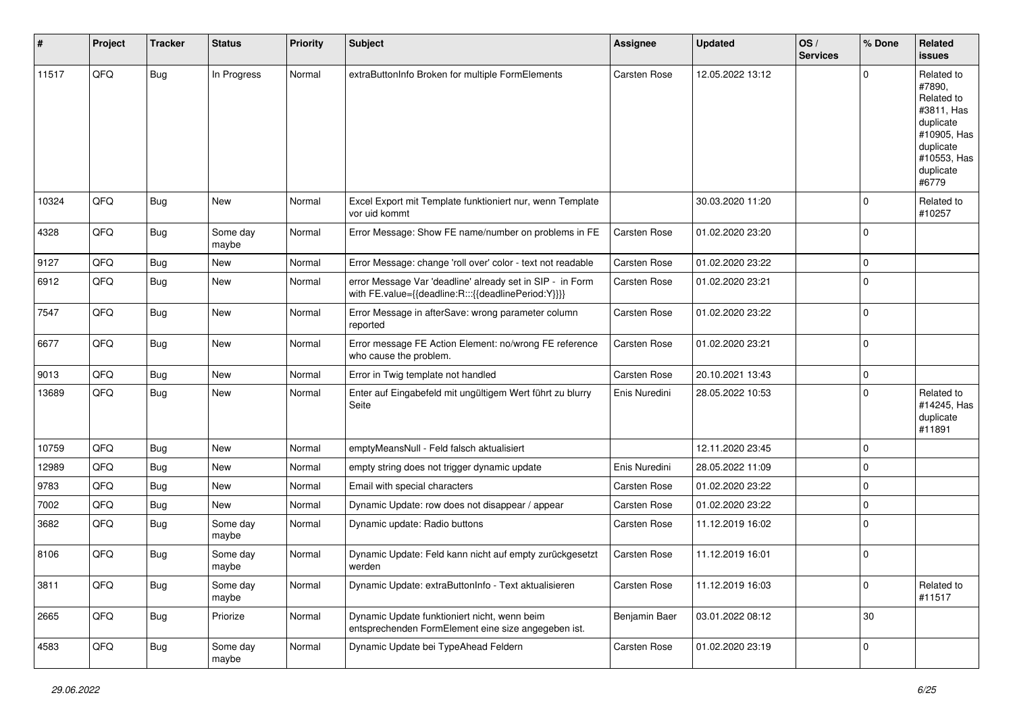| #     | Project | <b>Tracker</b> | <b>Status</b>     | <b>Priority</b> | <b>Subject</b>                                                                                                   | <b>Assignee</b>     | <b>Updated</b>   | OS/<br><b>Services</b> | % Done      | Related<br>issues                                                                                                              |
|-------|---------|----------------|-------------------|-----------------|------------------------------------------------------------------------------------------------------------------|---------------------|------------------|------------------------|-------------|--------------------------------------------------------------------------------------------------------------------------------|
| 11517 | QFQ     | Bug            | In Progress       | Normal          | extraButtonInfo Broken for multiple FormElements                                                                 | <b>Carsten Rose</b> | 12.05.2022 13:12 |                        | $\Omega$    | Related to<br>#7890,<br>Related to<br>#3811, Has<br>duplicate<br>#10905, Has<br>duplicate<br>#10553, Has<br>duplicate<br>#6779 |
| 10324 | QFQ     | Bug            | <b>New</b>        | Normal          | Excel Export mit Template funktioniert nur, wenn Template<br>vor uid kommt                                       |                     | 30.03.2020 11:20 |                        | $\Omega$    | Related to<br>#10257                                                                                                           |
| 4328  | QFQ     | Bug            | Some day<br>maybe | Normal          | Error Message: Show FE name/number on problems in FE                                                             | Carsten Rose        | 01.02.2020 23:20 |                        | 0           |                                                                                                                                |
| 9127  | QFQ     | Bug            | <b>New</b>        | Normal          | Error Message: change 'roll over' color - text not readable                                                      | Carsten Rose        | 01.02.2020 23:22 |                        | $\mathbf 0$ |                                                                                                                                |
| 6912  | QFQ     | Bug            | New               | Normal          | error Message Var 'deadline' already set in SIP - in Form<br>with FE.value={{deadline:R:::{{deadlinePeriod:Y}}}} | Carsten Rose        | 01.02.2020 23:21 |                        | $\Omega$    |                                                                                                                                |
| 7547  | QFQ     | Bug            | <b>New</b>        | Normal          | Error Message in afterSave: wrong parameter column<br>reported                                                   | Carsten Rose        | 01.02.2020 23:22 |                        | 0           |                                                                                                                                |
| 6677  | QFQ     | Bug            | <b>New</b>        | Normal          | Error message FE Action Element: no/wrong FE reference<br>who cause the problem.                                 | Carsten Rose        | 01.02.2020 23:21 |                        | $\Omega$    |                                                                                                                                |
| 9013  | QFQ     | Bug            | <b>New</b>        | Normal          | Error in Twig template not handled                                                                               | Carsten Rose        | 20.10.2021 13:43 |                        | $\mathbf 0$ |                                                                                                                                |
| 13689 | QFQ     | Bug            | New               | Normal          | Enter auf Eingabefeld mit ungültigem Wert führt zu blurry<br>Seite                                               | Enis Nuredini       | 28.05.2022 10:53 |                        | 0           | Related to<br>#14245, Has<br>duplicate<br>#11891                                                                               |
| 10759 | QFQ     | Bug            | <b>New</b>        | Normal          | emptyMeansNull - Feld falsch aktualisiert                                                                        |                     | 12.11.2020 23:45 |                        | $\mathbf 0$ |                                                                                                                                |
| 12989 | QFQ     | Bug            | New               | Normal          | empty string does not trigger dynamic update                                                                     | Enis Nuredini       | 28.05.2022 11:09 |                        | $\Omega$    |                                                                                                                                |
| 9783  | QFQ     | Bug            | <b>New</b>        | Normal          | Email with special characters                                                                                    | <b>Carsten Rose</b> | 01.02.2020 23:22 |                        | $\Omega$    |                                                                                                                                |
| 7002  | QFQ     | Bug            | New               | Normal          | Dynamic Update: row does not disappear / appear                                                                  | Carsten Rose        | 01.02.2020 23:22 |                        | $\mathbf 0$ |                                                                                                                                |
| 3682  | QFQ     | <b>Bug</b>     | Some day<br>maybe | Normal          | Dynamic update: Radio buttons                                                                                    | Carsten Rose        | 11.12.2019 16:02 |                        | $\mathbf 0$ |                                                                                                                                |
| 8106  | QFQ     | Bug            | Some day<br>maybe | Normal          | Dynamic Update: Feld kann nicht auf empty zurückgesetzt<br>werden                                                | Carsten Rose        | 11.12.2019 16:01 |                        | $\Omega$    |                                                                                                                                |
| 3811  | QFQ     | <b>Bug</b>     | Some day<br>maybe | Normal          | Dynamic Update: extraButtonInfo - Text aktualisieren                                                             | Carsten Rose        | 11.12.2019 16:03 |                        | 0           | Related to<br>#11517                                                                                                           |
| 2665  | QFQ     | <b>Bug</b>     | Priorize          | Normal          | Dynamic Update funktioniert nicht, wenn beim<br>entsprechenden FormElement eine size angegeben ist.              | Benjamin Baer       | 03.01.2022 08:12 |                        | 30          |                                                                                                                                |
| 4583  | QFG     | <b>Bug</b>     | Some day<br>maybe | Normal          | Dynamic Update bei TypeAhead Feldern                                                                             | Carsten Rose        | 01.02.2020 23:19 |                        | $\mathbf 0$ |                                                                                                                                |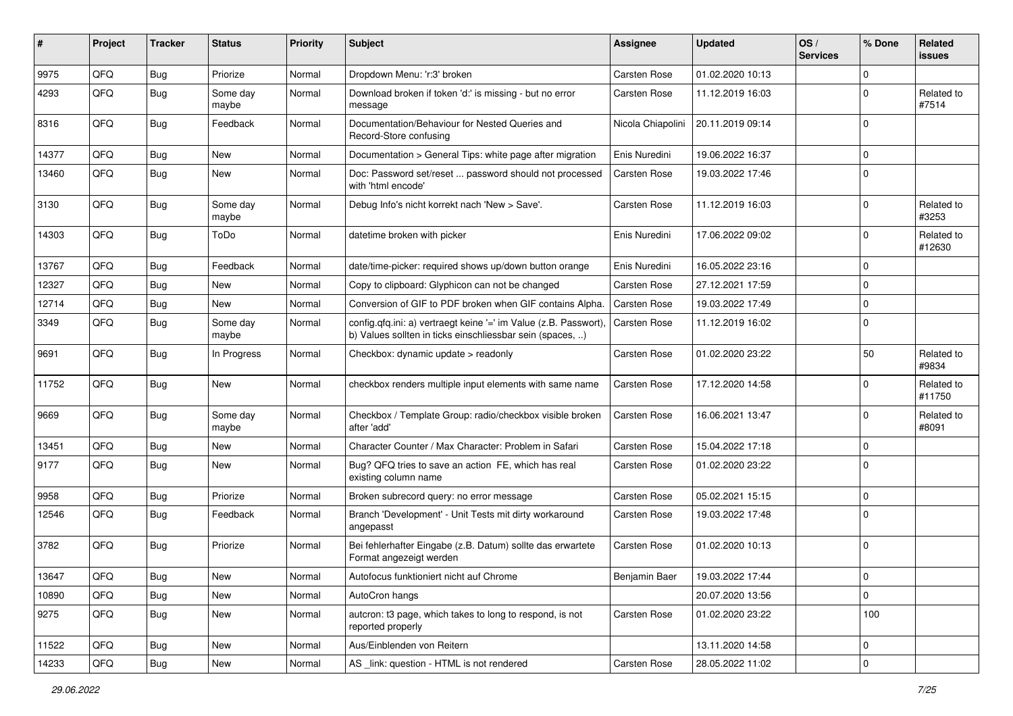| #     | Project | <b>Tracker</b> | <b>Status</b>     | Priority | Subject                                                                                                                       | Assignee          | <b>Updated</b>   | OS/<br><b>Services</b> | % Done      | Related<br><b>issues</b> |
|-------|---------|----------------|-------------------|----------|-------------------------------------------------------------------------------------------------------------------------------|-------------------|------------------|------------------------|-------------|--------------------------|
| 9975  | QFQ     | <b>Bug</b>     | Priorize          | Normal   | Dropdown Menu: 'r:3' broken                                                                                                   | Carsten Rose      | 01.02.2020 10:13 |                        | $\Omega$    |                          |
| 4293  | QFQ     | <b>Bug</b>     | Some day<br>maybe | Normal   | Download broken if token 'd:' is missing - but no error<br>message                                                            | Carsten Rose      | 11.12.2019 16:03 |                        | $\mathbf 0$ | Related to<br>#7514      |
| 8316  | QFQ     | <b>Bug</b>     | Feedback          | Normal   | Documentation/Behaviour for Nested Queries and<br>Record-Store confusing                                                      | Nicola Chiapolini | 20.11.2019 09:14 |                        | $\Omega$    |                          |
| 14377 | QFQ     | Bug            | <b>New</b>        | Normal   | Documentation > General Tips: white page after migration                                                                      | Enis Nuredini     | 19.06.2022 16:37 |                        | $\mathbf 0$ |                          |
| 13460 | QFQ     | Bug            | New               | Normal   | Doc: Password set/reset  password should not processed<br>with 'html encode'                                                  | Carsten Rose      | 19.03.2022 17:46 |                        | $\mathbf 0$ |                          |
| 3130  | QFQ     | Bug            | Some day<br>maybe | Normal   | Debug Info's nicht korrekt nach 'New > Save'.                                                                                 | Carsten Rose      | 11.12.2019 16:03 |                        | $\mathbf 0$ | Related to<br>#3253      |
| 14303 | QFQ     | Bug            | ToDo              | Normal   | datetime broken with picker                                                                                                   | Enis Nuredini     | 17.06.2022 09:02 |                        | $\Omega$    | Related to<br>#12630     |
| 13767 | QFQ     | <b>Bug</b>     | Feedback          | Normal   | date/time-picker: required shows up/down button orange                                                                        | Enis Nuredini     | 16.05.2022 23:16 |                        | $\mathbf 0$ |                          |
| 12327 | QFQ     | Bug            | New               | Normal   | Copy to clipboard: Glyphicon can not be changed                                                                               | Carsten Rose      | 27.12.2021 17:59 |                        | $\Omega$    |                          |
| 12714 | QFQ     | <b>Bug</b>     | <b>New</b>        | Normal   | Conversion of GIF to PDF broken when GIF contains Alpha.                                                                      | Carsten Rose      | 19.03.2022 17:49 |                        | $\mathbf 0$ |                          |
| 3349  | QFQ     | <b>Bug</b>     | Some day<br>maybe | Normal   | config.qfq.ini: a) vertraegt keine '=' im Value (z.B. Passwort),<br>b) Values sollten in ticks einschliessbar sein (spaces, ) | Carsten Rose      | 11.12.2019 16:02 |                        | $\Omega$    |                          |
| 9691  | QFQ     | Bug            | In Progress       | Normal   | Checkbox: dynamic update > readonly                                                                                           | Carsten Rose      | 01.02.2020 23:22 |                        | 50          | Related to<br>#9834      |
| 11752 | QFQ     | Bug            | New               | Normal   | checkbox renders multiple input elements with same name                                                                       | Carsten Rose      | 17.12.2020 14:58 |                        | $\Omega$    | Related to<br>#11750     |
| 9669  | QFQ     | Bug            | Some day<br>maybe | Normal   | Checkbox / Template Group: radio/checkbox visible broken<br>after 'add'                                                       | Carsten Rose      | 16.06.2021 13:47 |                        | $\Omega$    | Related to<br>#8091      |
| 13451 | QFQ     | <b>Bug</b>     | New               | Normal   | Character Counter / Max Character: Problem in Safari                                                                          | Carsten Rose      | 15.04.2022 17:18 |                        | $\Omega$    |                          |
| 9177  | QFQ     | <b>Bug</b>     | New               | Normal   | Bug? QFQ tries to save an action FE, which has real<br>existing column name                                                   | Carsten Rose      | 01.02.2020 23:22 |                        | 0           |                          |
| 9958  | QFQ     | <b>Bug</b>     | Priorize          | Normal   | Broken subrecord query: no error message                                                                                      | Carsten Rose      | 05.02.2021 15:15 |                        | $\Omega$    |                          |
| 12546 | QFQ     | Bug            | Feedback          | Normal   | Branch 'Development' - Unit Tests mit dirty workaround<br>angepasst                                                           | Carsten Rose      | 19.03.2022 17:48 |                        | $\Omega$    |                          |
| 3782  | QFQ     | Bug            | Priorize          | Normal   | Bei fehlerhafter Eingabe (z.B. Datum) sollte das erwartete<br>Format angezeigt werden                                         | Carsten Rose      | 01.02.2020 10:13 |                        | $\Omega$    |                          |
| 13647 | QFQ     | Bug            | New               | Normal   | Autofocus funktioniert nicht auf Chrome                                                                                       | Benjamin Baer     | 19.03.2022 17:44 |                        | 0           |                          |
| 10890 | QFQ     | <b>Bug</b>     | New               | Normal   | AutoCron hangs                                                                                                                |                   | 20.07.2020 13:56 |                        | $\mathbf 0$ |                          |
| 9275  | QFQ     | <b>Bug</b>     | New               | Normal   | autcron: t3 page, which takes to long to respond, is not<br>reported properly                                                 | Carsten Rose      | 01.02.2020 23:22 |                        | 100         |                          |
| 11522 | QFQ     | Bug            | New               | Normal   | Aus/Einblenden von Reitern                                                                                                    |                   | 13.11.2020 14:58 |                        | 0           |                          |
| 14233 | QFQ     | <b>Bug</b>     | New               | Normal   | AS link: question - HTML is not rendered                                                                                      | Carsten Rose      | 28.05.2022 11:02 |                        | $\mathbf 0$ |                          |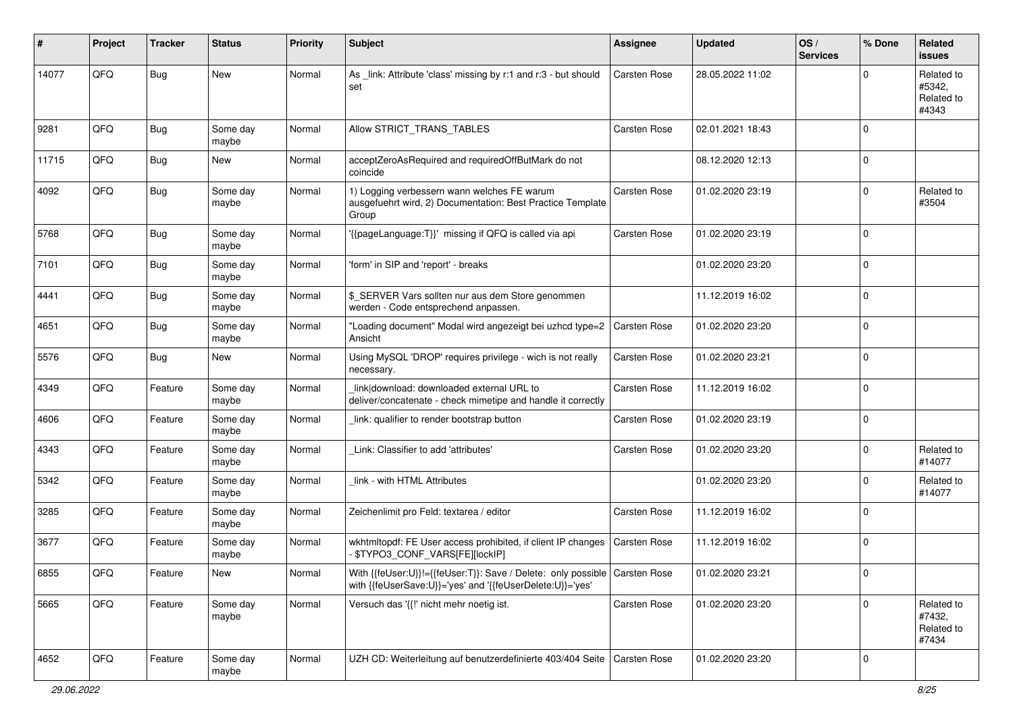| #     | Project | <b>Tracker</b> | <b>Status</b>     | <b>Priority</b> | Subject                                                                                                                                   | <b>Assignee</b> | <b>Updated</b>   | OS/<br><b>Services</b> | % Done      | Related<br><b>issues</b>                    |
|-------|---------|----------------|-------------------|-----------------|-------------------------------------------------------------------------------------------------------------------------------------------|-----------------|------------------|------------------------|-------------|---------------------------------------------|
| 14077 | QFQ     | <b>Bug</b>     | <b>New</b>        | Normal          | As _link: Attribute 'class' missing by r:1 and r:3 - but should<br>set                                                                    | Carsten Rose    | 28.05.2022 11:02 |                        | $\Omega$    | Related to<br>#5342,<br>Related to<br>#4343 |
| 9281  | QFQ     | Bug            | Some day<br>maybe | Normal          | Allow STRICT_TRANS_TABLES                                                                                                                 | Carsten Rose    | 02.01.2021 18:43 |                        | $\Omega$    |                                             |
| 11715 | QFQ     | Bug            | <b>New</b>        | Normal          | acceptZeroAsRequired and requiredOffButMark do not<br>coincide                                                                            |                 | 08.12.2020 12:13 |                        | $\Omega$    |                                             |
| 4092  | QFQ     | Bug            | Some day<br>maybe | Normal          | 1) Logging verbessern wann welches FE warum<br>ausgefuehrt wird, 2) Documentation: Best Practice Template<br>Group                        | Carsten Rose    | 01.02.2020 23:19 |                        | $\mathbf 0$ | Related to<br>#3504                         |
| 5768  | QFQ     | Bug            | Some day<br>maybe | Normal          | {{pageLanguage:T}}' missing if QFQ is called via api                                                                                      | Carsten Rose    | 01.02.2020 23:19 |                        | $\mathbf 0$ |                                             |
| 7101  | QFQ     | Bug            | Some day<br>maybe | Normal          | 'form' in SIP and 'report' - breaks                                                                                                       |                 | 01.02.2020 23:20 |                        | $\mathbf 0$ |                                             |
| 4441  | QFQ     | Bug            | Some day<br>maybe | Normal          | \$ SERVER Vars sollten nur aus dem Store genommen<br>werden - Code entsprechend anpassen.                                                 |                 | 11.12.2019 16:02 |                        | $\Omega$    |                                             |
| 4651  | QFQ     | <b>Bug</b>     | Some day<br>maybe | Normal          | 'Loading document" Modal wird angezeigt bei uzhcd type=2<br>Ansicht                                                                       | Carsten Rose    | 01.02.2020 23:20 |                        | $\Omega$    |                                             |
| 5576  | QFQ     | Bug            | <b>New</b>        | Normal          | Using MySQL 'DROP' requires privilege - wich is not really<br>necessary.                                                                  | Carsten Rose    | 01.02.2020 23:21 |                        | $\Omega$    |                                             |
| 4349  | QFQ     | Feature        | Some day<br>maybe | Normal          | link download: downloaded external URL to<br>deliver/concatenate - check mimetipe and handle it correctly                                 | Carsten Rose    | 11.12.2019 16:02 |                        | $\Omega$    |                                             |
| 4606  | QFQ     | Feature        | Some day<br>maybe | Normal          | link: qualifier to render bootstrap button                                                                                                | Carsten Rose    | 01.02.2020 23:19 |                        | $\mathbf 0$ |                                             |
| 4343  | QFQ     | Feature        | Some day<br>maybe | Normal          | Link: Classifier to add 'attributes'                                                                                                      | Carsten Rose    | 01.02.2020 23:20 |                        | $\mathbf 0$ | Related to<br>#14077                        |
| 5342  | QFQ     | Feature        | Some day<br>maybe | Normal          | link - with HTML Attributes                                                                                                               |                 | 01.02.2020 23:20 |                        | $\mathbf 0$ | Related to<br>#14077                        |
| 3285  | QFQ     | Feature        | Some day<br>maybe | Normal          | Zeichenlimit pro Feld: textarea / editor                                                                                                  | Carsten Rose    | 11.12.2019 16:02 |                        | $\Omega$    |                                             |
| 3677  | QFQ     | Feature        | Some day<br>maybe | Normal          | wkhtmltopdf: FE User access prohibited, if client IP changes<br>\$TYPO3_CONF_VARS[FE][lockIP]                                             | Carsten Rose    | 11.12.2019 16:02 |                        | $\mathbf 0$ |                                             |
| 6855  | QFQ     | Feature        | New               | Normal          | With {{feUser:U}}!={{feUser:T}}: Save / Delete: only possible   Carsten Rose<br>with {{feUserSave:U}}='yes' and '{{feUserDelete:U}}='yes' |                 | 01.02.2020 23:21 |                        |             |                                             |
| 5665  | QFQ     | Feature        | Some day<br>maybe | Normal          | Versuch das '{{!' nicht mehr noetig ist.                                                                                                  | Carsten Rose    | 01.02.2020 23:20 |                        | $\mathbf 0$ | Related to<br>#7432,<br>Related to<br>#7434 |
| 4652  | QFG     | Feature        | Some day<br>maybe | Normal          | UZH CD: Weiterleitung auf benutzerdefinierte 403/404 Seite                                                                                | Carsten Rose    | 01.02.2020 23:20 |                        | 0           |                                             |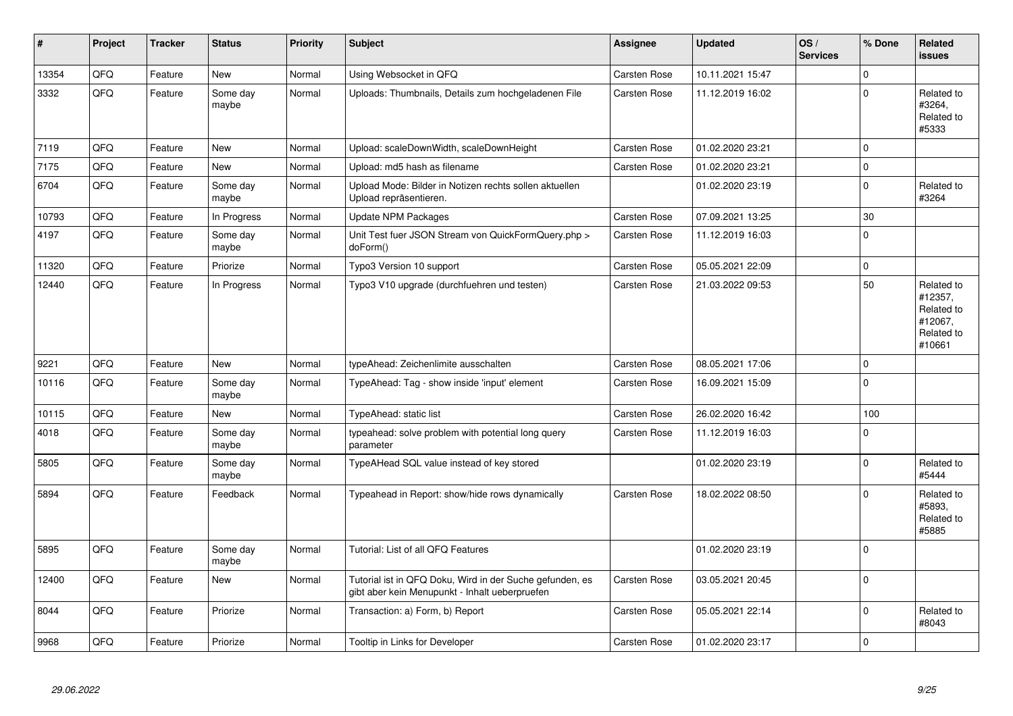| #     | Project | <b>Tracker</b> | <b>Status</b>     | <b>Priority</b> | <b>Subject</b>                                                                                             | <b>Assignee</b>     | <b>Updated</b>   | OS/<br><b>Services</b> | % Done      | Related<br>issues                                                      |
|-------|---------|----------------|-------------------|-----------------|------------------------------------------------------------------------------------------------------------|---------------------|------------------|------------------------|-------------|------------------------------------------------------------------------|
| 13354 | QFQ     | Feature        | <b>New</b>        | Normal          | Using Websocket in QFQ                                                                                     | Carsten Rose        | 10.11.2021 15:47 |                        | $\mathbf 0$ |                                                                        |
| 3332  | QFQ     | Feature        | Some day<br>maybe | Normal          | Uploads: Thumbnails, Details zum hochgeladenen File                                                        | Carsten Rose        | 11.12.2019 16:02 |                        | $\Omega$    | Related to<br>#3264,<br>Related to<br>#5333                            |
| 7119  | QFQ     | Feature        | <b>New</b>        | Normal          | Upload: scaleDownWidth, scaleDownHeight                                                                    | Carsten Rose        | 01.02.2020 23:21 |                        | $\mathbf 0$ |                                                                        |
| 7175  | QFQ     | Feature        | New               | Normal          | Upload: md5 hash as filename                                                                               | <b>Carsten Rose</b> | 01.02.2020 23:21 |                        | $\mathbf 0$ |                                                                        |
| 6704  | QFQ     | Feature        | Some day<br>maybe | Normal          | Upload Mode: Bilder in Notizen rechts sollen aktuellen<br>Upload repräsentieren.                           |                     | 01.02.2020 23:19 |                        | $\mathbf 0$ | Related to<br>#3264                                                    |
| 10793 | QFQ     | Feature        | In Progress       | Normal          | <b>Update NPM Packages</b>                                                                                 | <b>Carsten Rose</b> | 07.09.2021 13:25 |                        | 30          |                                                                        |
| 4197  | QFQ     | Feature        | Some day<br>maybe | Normal          | Unit Test fuer JSON Stream von QuickFormQuery.php ><br>doForm()                                            | <b>Carsten Rose</b> | 11.12.2019 16:03 |                        | $\Omega$    |                                                                        |
| 11320 | QFQ     | Feature        | Priorize          | Normal          | Typo3 Version 10 support                                                                                   | Carsten Rose        | 05.05.2021 22:09 |                        | $\mathbf 0$ |                                                                        |
| 12440 | QFQ     | Feature        | In Progress       | Normal          | Typo3 V10 upgrade (durchfuehren und testen)                                                                | <b>Carsten Rose</b> | 21.03.2022 09:53 |                        | 50          | Related to<br>#12357,<br>Related to<br>#12067,<br>Related to<br>#10661 |
| 9221  | QFQ     | Feature        | <b>New</b>        | Normal          | typeAhead: Zeichenlimite ausschalten                                                                       | <b>Carsten Rose</b> | 08.05.2021 17:06 |                        | $\mathbf 0$ |                                                                        |
| 10116 | QFQ     | Feature        | Some day<br>maybe | Normal          | TypeAhead: Tag - show inside 'input' element                                                               | Carsten Rose        | 16.09.2021 15:09 |                        | $\Omega$    |                                                                        |
| 10115 | QFQ     | Feature        | <b>New</b>        | Normal          | TypeAhead: static list                                                                                     | Carsten Rose        | 26.02.2020 16:42 |                        | 100         |                                                                        |
| 4018  | QFQ     | Feature        | Some day<br>maybe | Normal          | typeahead: solve problem with potential long query<br>parameter                                            | Carsten Rose        | 11.12.2019 16:03 |                        | $\Omega$    |                                                                        |
| 5805  | QFQ     | Feature        | Some day<br>maybe | Normal          | TypeAHead SQL value instead of key stored                                                                  |                     | 01.02.2020 23:19 |                        | $\Omega$    | Related to<br>#5444                                                    |
| 5894  | QFQ     | Feature        | Feedback          | Normal          | Typeahead in Report: show/hide rows dynamically                                                            | Carsten Rose        | 18.02.2022 08:50 |                        | $\Omega$    | Related to<br>#5893.<br>Related to<br>#5885                            |
| 5895  | QFQ     | Feature        | Some day<br>maybe | Normal          | Tutorial: List of all QFQ Features                                                                         |                     | 01.02.2020 23:19 |                        | 0           |                                                                        |
| 12400 | QFQ     | Feature        | New               | Normal          | Tutorial ist in QFQ Doku, Wird in der Suche gefunden, es<br>gibt aber kein Menupunkt - Inhalt ueberpruefen | Carsten Rose        | 03.05.2021 20:45 |                        | $\Omega$    |                                                                        |
| 8044  | QFQ     | Feature        | Priorize          | Normal          | Transaction: a) Form, b) Report                                                                            | <b>Carsten Rose</b> | 05.05.2021 22:14 |                        | $\Omega$    | Related to<br>#8043                                                    |
| 9968  | QFQ     | Feature        | Priorize          | Normal          | Tooltip in Links for Developer                                                                             | <b>Carsten Rose</b> | 01.02.2020 23:17 |                        | $\mathbf 0$ |                                                                        |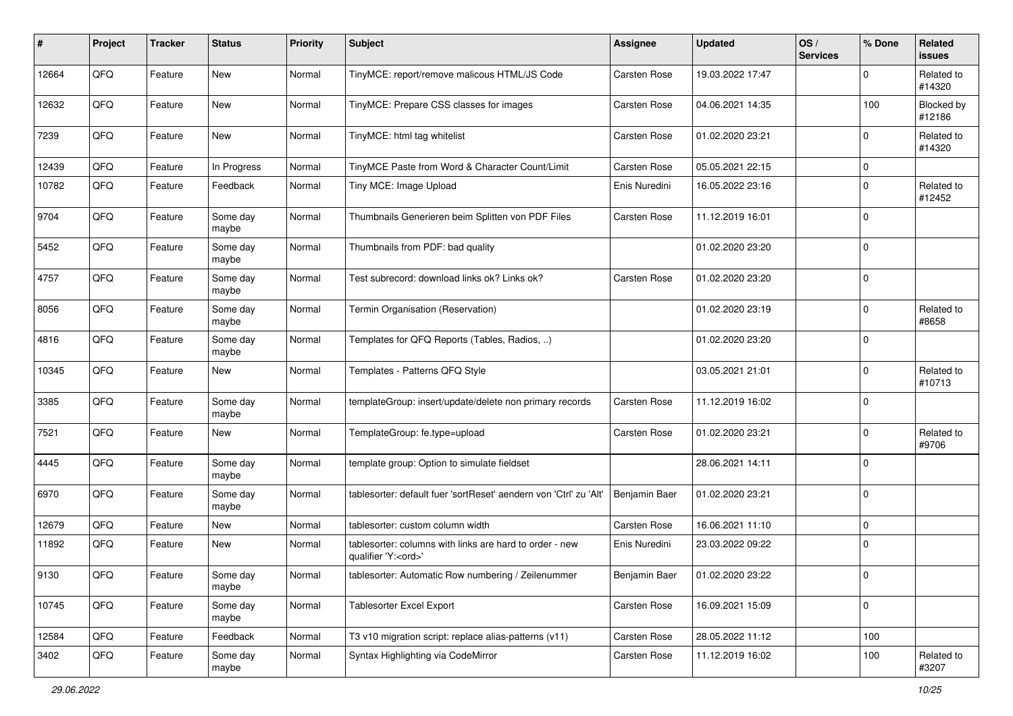| #     | Project | <b>Tracker</b> | <b>Status</b>     | <b>Priority</b> | <b>Subject</b>                                                                        | Assignee      | <b>Updated</b>   | OS/<br><b>Services</b> | % Done      | Related<br>issues           |
|-------|---------|----------------|-------------------|-----------------|---------------------------------------------------------------------------------------|---------------|------------------|------------------------|-------------|-----------------------------|
| 12664 | QFQ     | Feature        | <b>New</b>        | Normal          | TinyMCE: report/remove malicous HTML/JS Code                                          | Carsten Rose  | 19.03.2022 17:47 |                        | $\Omega$    | Related to<br>#14320        |
| 12632 | QFQ     | Feature        | New               | Normal          | TinyMCE: Prepare CSS classes for images                                               | Carsten Rose  | 04.06.2021 14:35 |                        | 100         | <b>Blocked by</b><br>#12186 |
| 7239  | QFQ     | Feature        | New               | Normal          | TinyMCE: html tag whitelist                                                           | Carsten Rose  | 01.02.2020 23:21 |                        | 0           | Related to<br>#14320        |
| 12439 | QFQ     | Feature        | In Progress       | Normal          | TinyMCE Paste from Word & Character Count/Limit                                       | Carsten Rose  | 05.05.2021 22:15 |                        | 0           |                             |
| 10782 | QFQ     | Feature        | Feedback          | Normal          | Tiny MCE: Image Upload                                                                | Enis Nuredini | 16.05.2022 23:16 |                        | 0           | Related to<br>#12452        |
| 9704  | QFQ     | Feature        | Some day<br>maybe | Normal          | Thumbnails Generieren beim Splitten von PDF Files                                     | Carsten Rose  | 11.12.2019 16:01 |                        | $\Omega$    |                             |
| 5452  | QFQ     | Feature        | Some day<br>maybe | Normal          | Thumbnails from PDF: bad quality                                                      |               | 01.02.2020 23:20 |                        | $\mathbf 0$ |                             |
| 4757  | QFQ     | Feature        | Some day<br>maybe | Normal          | Test subrecord: download links ok? Links ok?                                          | Carsten Rose  | 01.02.2020 23:20 |                        | $\mathbf 0$ |                             |
| 8056  | QFQ     | Feature        | Some day<br>maybe | Normal          | Termin Organisation (Reservation)                                                     |               | 01.02.2020 23:19 |                        | 0           | Related to<br>#8658         |
| 4816  | QFQ     | Feature        | Some day<br>maybe | Normal          | Templates for QFQ Reports (Tables, Radios, )                                          |               | 01.02.2020 23:20 |                        | $\Omega$    |                             |
| 10345 | QFQ     | Feature        | New               | Normal          | Templates - Patterns QFQ Style                                                        |               | 03.05.2021 21:01 |                        | $\Omega$    | Related to<br>#10713        |
| 3385  | QFQ     | Feature        | Some day<br>maybe | Normal          | templateGroup: insert/update/delete non primary records                               | Carsten Rose  | 11.12.2019 16:02 |                        | $\Omega$    |                             |
| 7521  | QFQ     | Feature        | New               | Normal          | TemplateGroup: fe.type=upload                                                         | Carsten Rose  | 01.02.2020 23:21 |                        | $\mathbf 0$ | Related to<br>#9706         |
| 4445  | QFQ     | Feature        | Some day<br>maybe | Normal          | template group: Option to simulate fieldset                                           |               | 28.06.2021 14:11 |                        | $\mathbf 0$ |                             |
| 6970  | QFQ     | Feature        | Some day<br>maybe | Normal          | tablesorter: default fuer 'sortReset' aendern von 'Ctrl' zu 'Alt'                     | Benjamin Baer | 01.02.2020 23:21 |                        | $\mathbf 0$ |                             |
| 12679 | QFQ     | Feature        | New               | Normal          | tablesorter: custom column width                                                      | Carsten Rose  | 16.06.2021 11:10 |                        | 0           |                             |
| 11892 | QFQ     | Feature        | New               | Normal          | tablesorter: columns with links are hard to order - new<br>qualifier 'Y: <ord>'</ord> | Enis Nuredini | 23.03.2022 09:22 |                        | $\Omega$    |                             |
| 9130  | QFQ     | Feature        | Some day<br>maybe | Normal          | tablesorter: Automatic Row numbering / Zeilenummer                                    | Benjamin Baer | 01.02.2020 23:22 |                        | ∣ ()        |                             |
| 10745 | QFQ     | Feature        | Some day<br>maybe | Normal          | <b>Tablesorter Excel Export</b>                                                       | Carsten Rose  | 16.09.2021 15:09 |                        | 0           |                             |
| 12584 | QFQ     | Feature        | Feedback          | Normal          | T3 v10 migration script: replace alias-patterns (v11)                                 | Carsten Rose  | 28.05.2022 11:12 |                        | 100         |                             |
| 3402  | QFQ     | Feature        | Some day<br>maybe | Normal          | Syntax Highlighting via CodeMirror                                                    | Carsten Rose  | 11.12.2019 16:02 |                        | 100         | Related to<br>#3207         |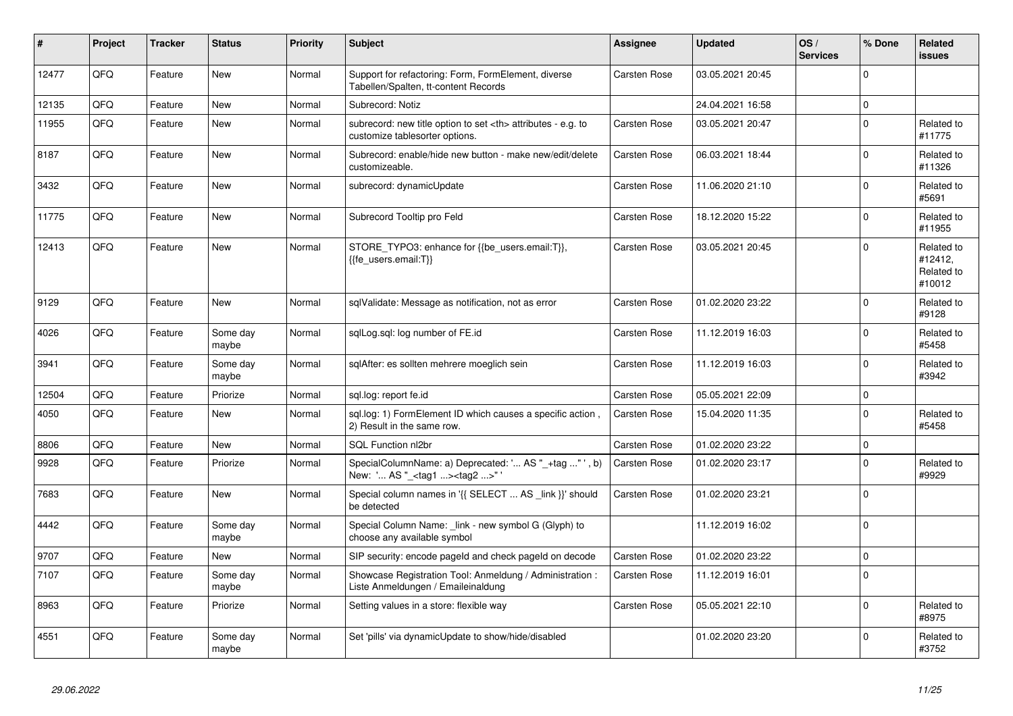| #     | Project | <b>Tracker</b> | <b>Status</b>     | <b>Priority</b> | <b>Subject</b>                                                                                       | <b>Assignee</b>                                        | <b>Updated</b>   | OS/<br><b>Services</b> | % Done      | Related<br><b>issues</b>                      |                      |
|-------|---------|----------------|-------------------|-----------------|------------------------------------------------------------------------------------------------------|--------------------------------------------------------|------------------|------------------------|-------------|-----------------------------------------------|----------------------|
| 12477 | QFQ     | Feature        | <b>New</b>        | Normal          | Support for refactoring: Form, FormElement, diverse<br>Tabellen/Spalten, tt-content Records          | Carsten Rose                                           | 03.05.2021 20:45 |                        | $\Omega$    |                                               |                      |
| 12135 | QFQ     | Feature        | <b>New</b>        | Normal          | Subrecord: Notiz                                                                                     |                                                        | 24.04.2021 16:58 |                        | $\mathbf 0$ |                                               |                      |
| 11955 | QFQ     | Feature        | <b>New</b>        | Normal          | subrecord: new title option to set <th> attributes - e.g. to<br/>customize tablesorter options.</th> | attributes - e.g. to<br>customize tablesorter options. | Carsten Rose     | 03.05.2021 20:47       |             | $\Omega$                                      | Related to<br>#11775 |
| 8187  | QFQ     | Feature        | <b>New</b>        | Normal          | Subrecord: enable/hide new button - make new/edit/delete<br>customizeable.                           | Carsten Rose                                           | 06.03.2021 18:44 |                        | $\pmb{0}$   | Related to<br>#11326                          |                      |
| 3432  | QFQ     | Feature        | <b>New</b>        | Normal          | subrecord: dynamicUpdate                                                                             | Carsten Rose                                           | 11.06.2020 21:10 |                        | $\mathbf 0$ | Related to<br>#5691                           |                      |
| 11775 | QFQ     | Feature        | <b>New</b>        | Normal          | Subrecord Tooltip pro Feld                                                                           | Carsten Rose                                           | 18.12.2020 15:22 |                        | $\Omega$    | Related to<br>#11955                          |                      |
| 12413 | QFQ     | Feature        | <b>New</b>        | Normal          | STORE_TYPO3: enhance for {{be_users.email:T}},<br>{{fe users.email:T}}                               | <b>Carsten Rose</b>                                    | 03.05.2021 20:45 |                        | $\Omega$    | Related to<br>#12412,<br>Related to<br>#10012 |                      |
| 9129  | QFQ     | Feature        | <b>New</b>        | Normal          | sqlValidate: Message as notification, not as error                                                   | Carsten Rose                                           | 01.02.2020 23:22 |                        | $\Omega$    | Related to<br>#9128                           |                      |
| 4026  | QFQ     | Feature        | Some day<br>maybe | Normal          | sglLog.sgl: log number of FE.id                                                                      | Carsten Rose                                           | 11.12.2019 16:03 |                        | $\Omega$    | Related to<br>#5458                           |                      |
| 3941  | QFQ     | Feature        | Some day<br>maybe | Normal          | sglAfter: es sollten mehrere moeglich sein                                                           | Carsten Rose                                           | 11.12.2019 16:03 |                        | $\mathbf 0$ | Related to<br>#3942                           |                      |
| 12504 | QFQ     | Feature        | Priorize          | Normal          | sql.log: report fe.id                                                                                | Carsten Rose                                           | 05.05.2021 22:09 |                        | $\mathbf 0$ |                                               |                      |
| 4050  | QFQ     | Feature        | <b>New</b>        | Normal          | sql.log: 1) FormElement ID which causes a specific action,<br>2) Result in the same row.             | Carsten Rose                                           | 15.04.2020 11:35 |                        | $\mathbf 0$ | Related to<br>#5458                           |                      |
| 8806  | QFQ     | Feature        | New               | Normal          | SQL Function nl2br                                                                                   | Carsten Rose                                           | 01.02.2020 23:22 |                        | $\pmb{0}$   |                                               |                      |
| 9928  | QFQ     | Feature        | Priorize          | Normal          | SpecialColumnName: a) Deprecated: ' AS "_+tag " ', b)<br>New: ' AS "_ <tag1><tag2>"</tag2></tag1>    | Carsten Rose                                           | 01.02.2020 23:17 |                        | $\mathbf 0$ | Related to<br>#9929                           |                      |
| 7683  | QFQ     | Feature        | New               | Normal          | Special column names in '{{ SELECT  AS _link }}' should<br>be detected                               | Carsten Rose                                           | 01.02.2020 23:21 |                        | $\Omega$    |                                               |                      |
| 4442  | QFQ     | Feature        | Some day<br>maybe | Normal          | Special Column Name: link - new symbol G (Glyph) to<br>choose any available symbol                   |                                                        | 11.12.2019 16:02 |                        | $\Omega$    |                                               |                      |
| 9707  | QFQ     | Feature        | <b>New</b>        | Normal          | SIP security: encode pageld and check pageld on decode                                               | Carsten Rose                                           | 01.02.2020 23:22 |                        | $\mathbf 0$ |                                               |                      |
| 7107  | QFQ     | Feature        | Some day<br>maybe | Normal          | Showcase Registration Tool: Anmeldung / Administration :<br>Liste Anmeldungen / Emaileinaldung       | Carsten Rose                                           | 11.12.2019 16:01 |                        | $\Omega$    |                                               |                      |
| 8963  | QFQ     | Feature        | Priorize          | Normal          | Setting values in a store: flexible way                                                              | Carsten Rose                                           | 05.05.2021 22:10 |                        | $\pmb{0}$   | Related to<br>#8975                           |                      |
| 4551  | QFQ     | Feature        | Some day<br>maybe | Normal          | Set 'pills' via dynamicUpdate to show/hide/disabled                                                  |                                                        | 01.02.2020 23:20 |                        | $\Omega$    | Related to<br>#3752                           |                      |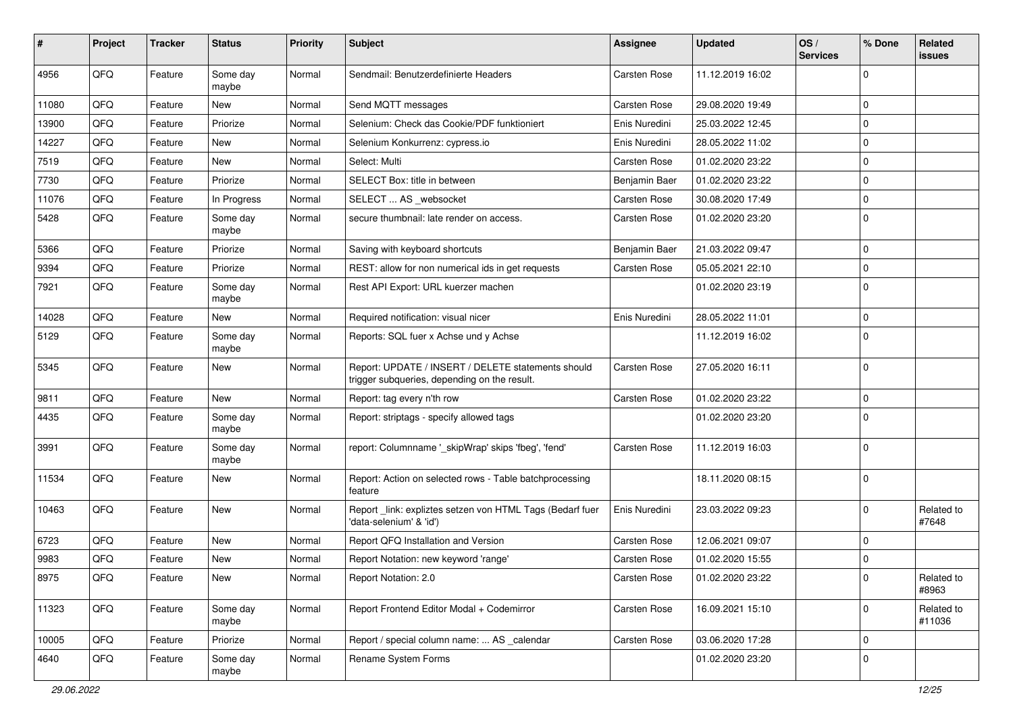| #     | Project | <b>Tracker</b> | <b>Status</b>     | <b>Priority</b> | <b>Subject</b>                                                                                     | Assignee      | <b>Updated</b>   | OS/<br><b>Services</b> | % Done         | Related<br>issues    |
|-------|---------|----------------|-------------------|-----------------|----------------------------------------------------------------------------------------------------|---------------|------------------|------------------------|----------------|----------------------|
| 4956  | QFQ     | Feature        | Some day<br>maybe | Normal          | Sendmail: Benutzerdefinierte Headers                                                               | Carsten Rose  | 11.12.2019 16:02 |                        | $\Omega$       |                      |
| 11080 | QFQ     | Feature        | New               | Normal          | Send MQTT messages                                                                                 | Carsten Rose  | 29.08.2020 19:49 |                        | 0              |                      |
| 13900 | QFQ     | Feature        | Priorize          | Normal          | Selenium: Check das Cookie/PDF funktioniert                                                        | Enis Nuredini | 25.03.2022 12:45 |                        | 0              |                      |
| 14227 | QFQ     | Feature        | <b>New</b>        | Normal          | Selenium Konkurrenz: cypress.io                                                                    | Enis Nuredini | 28.05.2022 11:02 |                        | $\Omega$       |                      |
| 7519  | QFQ     | Feature        | New               | Normal          | Select: Multi                                                                                      | Carsten Rose  | 01.02.2020 23:22 |                        | $\Omega$       |                      |
| 7730  | QFQ     | Feature        | Priorize          | Normal          | SELECT Box: title in between                                                                       | Benjamin Baer | 01.02.2020 23:22 |                        | $\mathbf 0$    |                      |
| 11076 | QFQ     | Feature        | In Progress       | Normal          | SELECT  AS _websocket                                                                              | Carsten Rose  | 30.08.2020 17:49 |                        | $\Omega$       |                      |
| 5428  | QFQ     | Feature        | Some day<br>maybe | Normal          | secure thumbnail: late render on access.                                                           | Carsten Rose  | 01.02.2020 23:20 |                        | $\mathbf 0$    |                      |
| 5366  | QFQ     | Feature        | Priorize          | Normal          | Saving with keyboard shortcuts                                                                     | Benjamin Baer | 21.03.2022 09:47 |                        | $\mathbf 0$    |                      |
| 9394  | QFQ     | Feature        | Priorize          | Normal          | REST: allow for non numerical ids in get requests                                                  | Carsten Rose  | 05.05.2021 22:10 |                        | 0              |                      |
| 7921  | QFQ     | Feature        | Some day<br>maybe | Normal          | Rest API Export: URL kuerzer machen                                                                |               | 01.02.2020 23:19 |                        | 0              |                      |
| 14028 | QFQ     | Feature        | New               | Normal          | Required notification: visual nicer                                                                | Enis Nuredini | 28.05.2022 11:01 |                        | $\mathbf 0$    |                      |
| 5129  | QFQ     | Feature        | Some day<br>maybe | Normal          | Reports: SQL fuer x Achse und y Achse                                                              |               | 11.12.2019 16:02 |                        | $\Omega$       |                      |
| 5345  | QFQ     | Feature        | <b>New</b>        | Normal          | Report: UPDATE / INSERT / DELETE statements should<br>trigger subqueries, depending on the result. | Carsten Rose  | 27.05.2020 16:11 |                        | $\mathbf 0$    |                      |
| 9811  | QFQ     | Feature        | <b>New</b>        | Normal          | Report: tag every n'th row                                                                         | Carsten Rose  | 01.02.2020 23:22 |                        | 0              |                      |
| 4435  | QFQ     | Feature        | Some day<br>maybe | Normal          | Report: striptags - specify allowed tags                                                           |               | 01.02.2020 23:20 |                        | $\Omega$       |                      |
| 3991  | QFQ     | Feature        | Some day<br>maybe | Normal          | report: Columnname '_skipWrap' skips 'fbeg', 'fend'                                                | Carsten Rose  | 11.12.2019 16:03 |                        | $\mathbf 0$    |                      |
| 11534 | QFQ     | Feature        | <b>New</b>        | Normal          | Report: Action on selected rows - Table batchprocessing<br>feature                                 |               | 18.11.2020 08:15 |                        | 0              |                      |
| 10463 | QFQ     | Feature        | <b>New</b>        | Normal          | Report _link: expliztes setzen von HTML Tags (Bedarf fuer<br>'data-selenium' & 'id')               | Enis Nuredini | 23.03.2022 09:23 |                        | 0              | Related to<br>#7648  |
| 6723  | QFQ     | Feature        | <b>New</b>        | Normal          | Report QFQ Installation and Version                                                                | Carsten Rose  | 12.06.2021 09:07 |                        | $\mathbf 0$    |                      |
| 9983  | QFQ     | Feature        | New               | Normal          | Report Notation: new keyword 'range'                                                               | Carsten Rose  | 01.02.2020 15:55 |                        | $\Omega$       |                      |
| 8975  | QFQ     | Feature        | New               | Normal          | Report Notation: 2.0                                                                               | Carsten Rose  | 01.02.2020 23:22 |                        | l 0            | Related to<br>#8963  |
| 11323 | QFQ     | Feature        | Some day<br>maybe | Normal          | Report Frontend Editor Modal + Codemirror                                                          | Carsten Rose  | 16.09.2021 15:10 |                        | $\overline{0}$ | Related to<br>#11036 |
| 10005 | QFQ     | Feature        | Priorize          | Normal          | Report / special column name:  AS _calendar                                                        | Carsten Rose  | 03.06.2020 17:28 |                        | $\mathbf 0$    |                      |
| 4640  | QFQ     | Feature        | Some day<br>maybe | Normal          | Rename System Forms                                                                                |               | 01.02.2020 23:20 |                        | 0              |                      |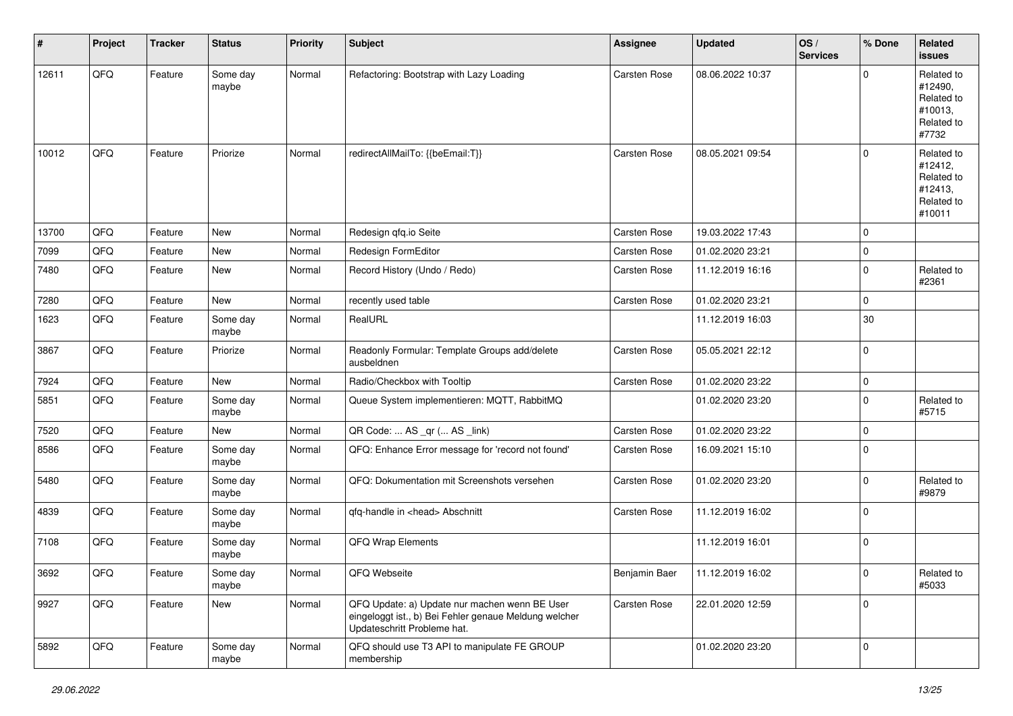| #     | Project | <b>Tracker</b> | <b>Status</b>     | <b>Priority</b> | <b>Subject</b>                                                                                                                        | Assignee            | <b>Updated</b>   | OS/<br><b>Services</b> | % Done      | Related<br>issues                                                      |
|-------|---------|----------------|-------------------|-----------------|---------------------------------------------------------------------------------------------------------------------------------------|---------------------|------------------|------------------------|-------------|------------------------------------------------------------------------|
| 12611 | QFQ     | Feature        | Some day<br>maybe | Normal          | Refactoring: Bootstrap with Lazy Loading                                                                                              | Carsten Rose        | 08.06.2022 10:37 |                        | $\Omega$    | Related to<br>#12490,<br>Related to<br>#10013,<br>Related to<br>#7732  |
| 10012 | QFQ     | Feature        | Priorize          | Normal          | redirectAllMailTo: {{beEmail:T}}                                                                                                      | <b>Carsten Rose</b> | 08.05.2021 09:54 |                        | $\Omega$    | Related to<br>#12412,<br>Related to<br>#12413,<br>Related to<br>#10011 |
| 13700 | QFQ     | Feature        | <b>New</b>        | Normal          | Redesign qfq.io Seite                                                                                                                 | <b>Carsten Rose</b> | 19.03.2022 17:43 |                        | $\mathbf 0$ |                                                                        |
| 7099  | QFQ     | Feature        | New               | Normal          | Redesign FormEditor                                                                                                                   | Carsten Rose        | 01.02.2020 23:21 |                        | $\mathbf 0$ |                                                                        |
| 7480  | QFQ     | Feature        | New               | Normal          | Record History (Undo / Redo)                                                                                                          | Carsten Rose        | 11.12.2019 16:16 |                        | 0           | Related to<br>#2361                                                    |
| 7280  | QFQ     | Feature        | New               | Normal          | recently used table                                                                                                                   | Carsten Rose        | 01.02.2020 23:21 |                        | $\Omega$    |                                                                        |
| 1623  | QFQ     | Feature        | Some day<br>maybe | Normal          | RealURL                                                                                                                               |                     | 11.12.2019 16:03 |                        | 30          |                                                                        |
| 3867  | QFQ     | Feature        | Priorize          | Normal          | Readonly Formular: Template Groups add/delete<br>ausbeldnen                                                                           | Carsten Rose        | 05.05.2021 22:12 |                        | 0           |                                                                        |
| 7924  | QFQ     | Feature        | <b>New</b>        | Normal          | Radio/Checkbox with Tooltip                                                                                                           | Carsten Rose        | 01.02.2020 23:22 |                        | $\mathbf 0$ |                                                                        |
| 5851  | QFQ     | Feature        | Some day<br>maybe | Normal          | Queue System implementieren: MQTT, RabbitMQ                                                                                           |                     | 01.02.2020 23:20 |                        | 0           | Related to<br>#5715                                                    |
| 7520  | QFQ     | Feature        | New               | Normal          | QR Code:  AS _qr ( AS _link)                                                                                                          | Carsten Rose        | 01.02.2020 23:22 |                        | $\Omega$    |                                                                        |
| 8586  | QFQ     | Feature        | Some day<br>maybe | Normal          | QFQ: Enhance Error message for 'record not found'                                                                                     | Carsten Rose        | 16.09.2021 15:10 |                        | l 0         |                                                                        |
| 5480  | QFQ     | Feature        | Some day<br>maybe | Normal          | QFQ: Dokumentation mit Screenshots versehen                                                                                           | Carsten Rose        | 01.02.2020 23:20 |                        | $\Omega$    | Related to<br>#9879                                                    |
| 4839  | QFQ     | Feature        | Some day<br>maybe | Normal          | qfq-handle in <head> Abschnitt</head>                                                                                                 | Carsten Rose        | 11.12.2019 16:02 |                        | $\Omega$    |                                                                        |
| 7108  | QFQ     | Feature        | Some day<br>maybe | Normal          | QFQ Wrap Elements                                                                                                                     |                     | 11.12.2019 16:01 |                        | $\mathbf 0$ |                                                                        |
| 3692  | QFQ     | Feature        | Some day<br>maybe | Normal          | QFQ Webseite                                                                                                                          | Benjamin Baer       | 11.12.2019 16:02 |                        | $\pmb{0}$   | Related to<br>#5033                                                    |
| 9927  | QFQ     | Feature        | New               | Normal          | QFQ Update: a) Update nur machen wenn BE User<br>eingeloggt ist., b) Bei Fehler genaue Meldung welcher<br>Updateschritt Probleme hat. | Carsten Rose        | 22.01.2020 12:59 |                        | 0           |                                                                        |
| 5892  | QFQ     | Feature        | Some day<br>maybe | Normal          | QFQ should use T3 API to manipulate FE GROUP<br>membership                                                                            |                     | 01.02.2020 23:20 |                        | $\mathbf 0$ |                                                                        |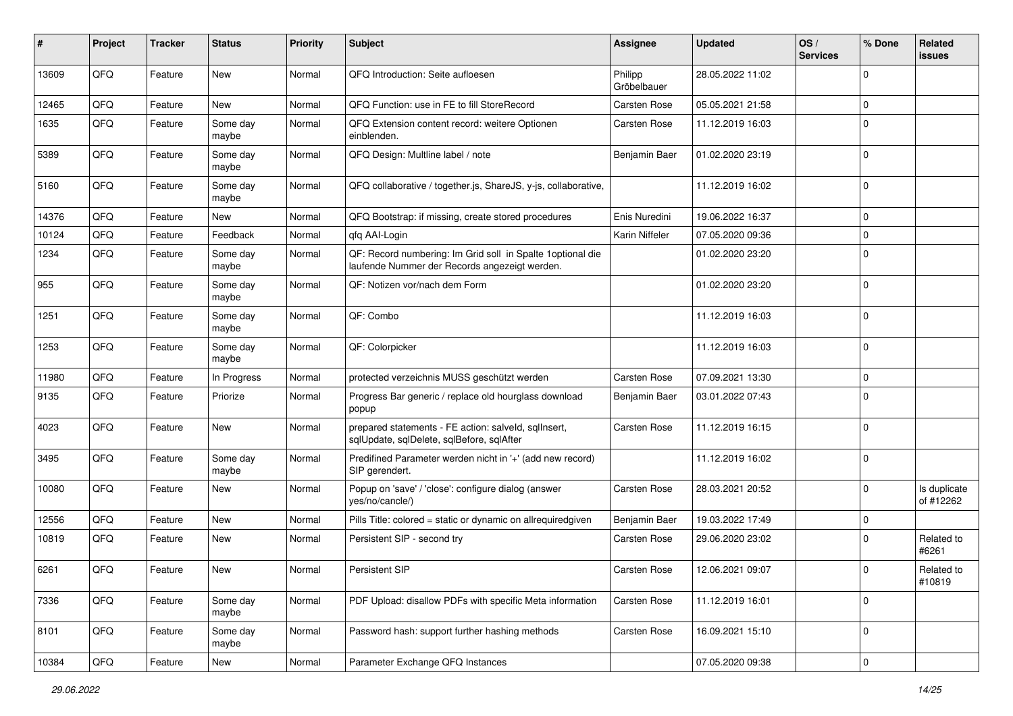| #     | Project | <b>Tracker</b> | <b>Status</b>     | <b>Priority</b> | <b>Subject</b>                                                                                               | Assignee               | <b>Updated</b>   | OS/<br><b>Services</b> | % Done      | Related<br>issues         |
|-------|---------|----------------|-------------------|-----------------|--------------------------------------------------------------------------------------------------------------|------------------------|------------------|------------------------|-------------|---------------------------|
| 13609 | QFQ     | Feature        | New               | Normal          | QFQ Introduction: Seite aufloesen                                                                            | Philipp<br>Gröbelbauer | 28.05.2022 11:02 |                        | $\Omega$    |                           |
| 12465 | QFQ     | Feature        | <b>New</b>        | Normal          | QFQ Function: use in FE to fill StoreRecord                                                                  | Carsten Rose           | 05.05.2021 21:58 |                        | $\Omega$    |                           |
| 1635  | QFQ     | Feature        | Some day<br>maybe | Normal          | QFQ Extension content record: weitere Optionen<br>einblenden.                                                | Carsten Rose           | 11.12.2019 16:03 |                        | $\mathbf 0$ |                           |
| 5389  | QFQ     | Feature        | Some day<br>maybe | Normal          | QFQ Design: Multline label / note                                                                            | Benjamin Baer          | 01.02.2020 23:19 |                        | $\mathbf 0$ |                           |
| 5160  | QFQ     | Feature        | Some day<br>maybe | Normal          | QFQ collaborative / together.js, ShareJS, y-js, collaborative,                                               |                        | 11.12.2019 16:02 |                        | $\Omega$    |                           |
| 14376 | QFQ     | Feature        | New               | Normal          | QFQ Bootstrap: if missing, create stored procedures                                                          | Enis Nuredini          | 19.06.2022 16:37 |                        | $\Omega$    |                           |
| 10124 | QFQ     | Feature        | Feedback          | Normal          | qfq AAI-Login                                                                                                | Karin Niffeler         | 07.05.2020 09:36 |                        | $\mathbf 0$ |                           |
| 1234  | QFQ     | Feature        | Some day<br>maybe | Normal          | QF: Record numbering: Im Grid soll in Spalte 1 optional die<br>laufende Nummer der Records angezeigt werden. |                        | 01.02.2020 23:20 |                        | $\Omega$    |                           |
| 955   | QFQ     | Feature        | Some day<br>maybe | Normal          | QF: Notizen vor/nach dem Form                                                                                |                        | 01.02.2020 23:20 |                        | $\Omega$    |                           |
| 1251  | QFQ     | Feature        | Some day<br>maybe | Normal          | QF: Combo                                                                                                    |                        | 11.12.2019 16:03 |                        | $\Omega$    |                           |
| 1253  | QFQ     | Feature        | Some day<br>maybe | Normal          | QF: Colorpicker                                                                                              |                        | 11.12.2019 16:03 |                        | $\mathbf 0$ |                           |
| 11980 | QFQ     | Feature        | In Progress       | Normal          | protected verzeichnis MUSS geschützt werden                                                                  | Carsten Rose           | 07.09.2021 13:30 |                        | 0           |                           |
| 9135  | QFQ     | Feature        | Priorize          | Normal          | Progress Bar generic / replace old hourglass download<br>popup                                               | Benjamin Baer          | 03.01.2022 07:43 |                        | $\Omega$    |                           |
| 4023  | QFQ     | Feature        | <b>New</b>        | Normal          | prepared statements - FE action: salveld, sqlInsert,<br>sqlUpdate, sqlDelete, sqlBefore, sqlAfter            | Carsten Rose           | 11.12.2019 16:15 |                        | $\Omega$    |                           |
| 3495  | QFQ     | Feature        | Some day<br>maybe | Normal          | Predifined Parameter werden nicht in '+' (add new record)<br>SIP gerendert.                                  |                        | 11.12.2019 16:02 |                        | $\Omega$    |                           |
| 10080 | QFQ     | Feature        | <b>New</b>        | Normal          | Popup on 'save' / 'close': configure dialog (answer<br>yes/no/cancle/)                                       | Carsten Rose           | 28.03.2021 20:52 |                        | $\Omega$    | Is duplicate<br>of #12262 |
| 12556 | QFQ     | Feature        | <b>New</b>        | Normal          | Pills Title: colored = static or dynamic on allrequiredgiven                                                 | Benjamin Baer          | 19.03.2022 17:49 |                        | $\mathbf 0$ |                           |
| 10819 | QFQ     | Feature        | New               | Normal          | Persistent SIP - second try                                                                                  | Carsten Rose           | 29.06.2020 23:02 |                        | $\Omega$    | Related to<br>#6261       |
| 6261  | QFQ     | Feature        | New               | Normal          | Persistent SIP                                                                                               | <b>Carsten Rose</b>    | 12.06.2021 09:07 |                        | 0           | Related to<br>#10819      |
| 7336  | QFQ     | Feature        | Some day<br>maybe | Normal          | PDF Upload: disallow PDFs with specific Meta information                                                     | Carsten Rose           | 11.12.2019 16:01 |                        | $\mathbf 0$ |                           |
| 8101  | QFQ     | Feature        | Some day<br>maybe | Normal          | Password hash: support further hashing methods                                                               | Carsten Rose           | 16.09.2021 15:10 |                        | 0           |                           |
| 10384 | QFG     | Feature        | New               | Normal          | Parameter Exchange QFQ Instances                                                                             |                        | 07.05.2020 09:38 |                        | 0           |                           |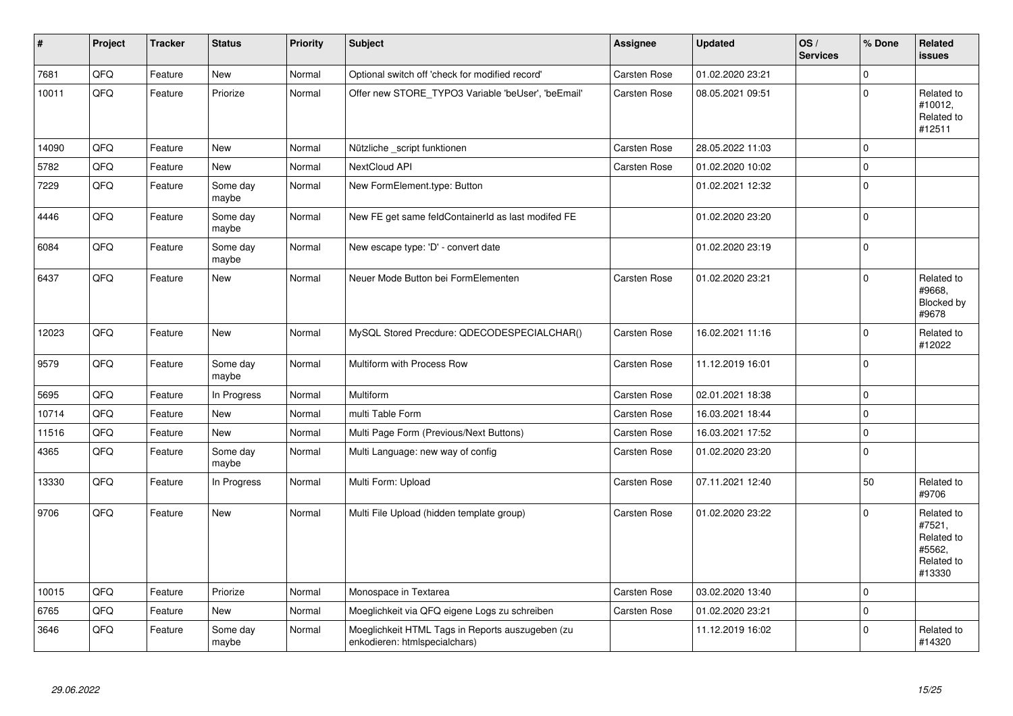| $\vert$ # | Project | <b>Tracker</b> | <b>Status</b>     | <b>Priority</b> | <b>Subject</b>                                                                    | <b>Assignee</b> | <b>Updated</b>   | OS/<br><b>Services</b> | % Done              | Related<br><b>issues</b>                                             |
|-----------|---------|----------------|-------------------|-----------------|-----------------------------------------------------------------------------------|-----------------|------------------|------------------------|---------------------|----------------------------------------------------------------------|
| 7681      | QFQ     | Feature        | <b>New</b>        | Normal          | Optional switch off 'check for modified record'                                   | Carsten Rose    | 01.02.2020 23:21 |                        | $\Omega$            |                                                                      |
| 10011     | QFQ     | Feature        | Priorize          | Normal          | Offer new STORE_TYPO3 Variable 'beUser', 'beEmail'                                | Carsten Rose    | 08.05.2021 09:51 |                        | $\mathbf 0$         | Related to<br>#10012,<br>Related to<br>#12511                        |
| 14090     | QFQ     | Feature        | <b>New</b>        | Normal          | Nützliche _script funktionen                                                      | Carsten Rose    | 28.05.2022 11:03 |                        | $\mathbf 0$         |                                                                      |
| 5782      | QFQ     | Feature        | <b>New</b>        | Normal          | NextCloud API                                                                     | Carsten Rose    | 01.02.2020 10:02 |                        | $\pmb{0}$           |                                                                      |
| 7229      | QFQ     | Feature        | Some day<br>maybe | Normal          | New FormElement.type: Button                                                      |                 | 01.02.2021 12:32 |                        | $\mathbf 0$         |                                                                      |
| 4446      | QFQ     | Feature        | Some day<br>maybe | Normal          | New FE get same feldContainerId as last modifed FE                                |                 | 01.02.2020 23:20 |                        | $\mathsf 0$         |                                                                      |
| 6084      | QFQ     | Feature        | Some day<br>maybe | Normal          | New escape type: 'D' - convert date                                               |                 | 01.02.2020 23:19 |                        | $\pmb{0}$           |                                                                      |
| 6437      | QFQ     | Feature        | <b>New</b>        | Normal          | Neuer Mode Button bei FormElementen                                               | Carsten Rose    | 01.02.2020 23:21 |                        | $\mathbf 0$         | Related to<br>#9668,<br>Blocked by<br>#9678                          |
| 12023     | QFQ     | Feature        | <b>New</b>        | Normal          | MySQL Stored Precdure: QDECODESPECIALCHAR()                                       | Carsten Rose    | 16.02.2021 11:16 |                        | $\mathbf 0$         | Related to<br>#12022                                                 |
| 9579      | QFQ     | Feature        | Some day<br>maybe | Normal          | Multiform with Process Row                                                        | Carsten Rose    | 11.12.2019 16:01 |                        | $\pmb{0}$           |                                                                      |
| 5695      | QFQ     | Feature        | In Progress       | Normal          | Multiform                                                                         | Carsten Rose    | 02.01.2021 18:38 |                        | $\mathbf 0$         |                                                                      |
| 10714     | QFQ     | Feature        | <b>New</b>        | Normal          | multi Table Form                                                                  | Carsten Rose    | 16.03.2021 18:44 |                        | $\pmb{0}$           |                                                                      |
| 11516     | QFQ     | Feature        | <b>New</b>        | Normal          | Multi Page Form (Previous/Next Buttons)                                           | Carsten Rose    | 16.03.2021 17:52 |                        | $\mathbf 0$         |                                                                      |
| 4365      | QFQ     | Feature        | Some day<br>maybe | Normal          | Multi Language: new way of config                                                 | Carsten Rose    | 01.02.2020 23:20 |                        | $\mathbf 0$         |                                                                      |
| 13330     | QFQ     | Feature        | In Progress       | Normal          | Multi Form: Upload                                                                | Carsten Rose    | 07.11.2021 12:40 |                        | 50                  | Related to<br>#9706                                                  |
| 9706      | QFQ     | Feature        | <b>New</b>        | Normal          | Multi File Upload (hidden template group)                                         | Carsten Rose    | 01.02.2020 23:22 |                        | $\mathsf 0$         | Related to<br>#7521,<br>Related to<br>#5562.<br>Related to<br>#13330 |
| 10015     | QFQ     | Feature        | Priorize          | Normal          | Monospace in Textarea                                                             | Carsten Rose    | 03.02.2020 13:40 |                        | $\mathsf{O}\xspace$ |                                                                      |
| 6765      | QFQ     | Feature        | <b>New</b>        | Normal          | Moeglichkeit via QFQ eigene Logs zu schreiben                                     | Carsten Rose    | 01.02.2020 23:21 |                        | $\mathsf{O}\xspace$ |                                                                      |
| 3646      | QFQ     | Feature        | Some day<br>maybe | Normal          | Moeglichkeit HTML Tags in Reports auszugeben (zu<br>enkodieren: htmlspecialchars) |                 | 11.12.2019 16:02 |                        | $\mathbf 0$         | Related to<br>#14320                                                 |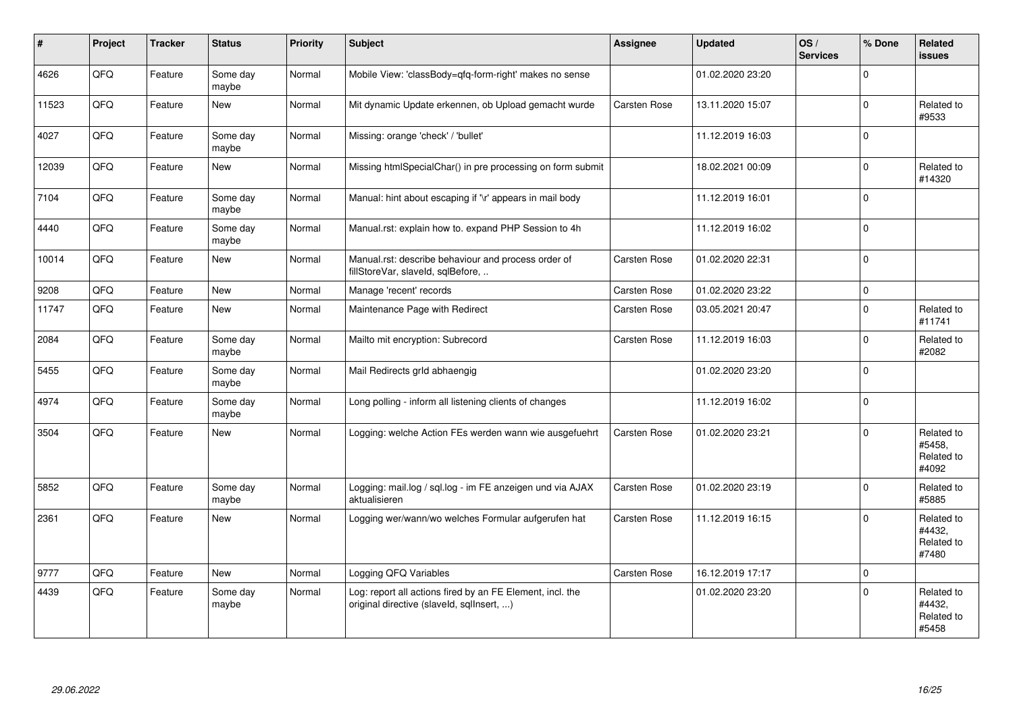| ∦     | Project | <b>Tracker</b> | <b>Status</b>     | <b>Priority</b> | <b>Subject</b>                                                                                         | <b>Assignee</b>     | <b>Updated</b>   | OS/<br><b>Services</b> | % Done      | Related<br>issues                           |
|-------|---------|----------------|-------------------|-----------------|--------------------------------------------------------------------------------------------------------|---------------------|------------------|------------------------|-------------|---------------------------------------------|
| 4626  | QFQ     | Feature        | Some day<br>maybe | Normal          | Mobile View: 'classBody=qfq-form-right' makes no sense                                                 |                     | 01.02.2020 23:20 |                        | $\Omega$    |                                             |
| 11523 | QFQ     | Feature        | <b>New</b>        | Normal          | Mit dynamic Update erkennen, ob Upload gemacht wurde                                                   | Carsten Rose        | 13.11.2020 15:07 |                        | $\Omega$    | Related to<br>#9533                         |
| 4027  | QFQ     | Feature        | Some day<br>maybe | Normal          | Missing: orange 'check' / 'bullet'                                                                     |                     | 11.12.2019 16:03 |                        | $\Omega$    |                                             |
| 12039 | QFQ     | Feature        | <b>New</b>        | Normal          | Missing htmlSpecialChar() in pre processing on form submit                                             |                     | 18.02.2021 00:09 |                        | $\mathbf 0$ | Related to<br>#14320                        |
| 7104  | QFQ     | Feature        | Some day<br>maybe | Normal          | Manual: hint about escaping if '\r' appears in mail body                                               |                     | 11.12.2019 16:01 |                        | $\Omega$    |                                             |
| 4440  | QFQ     | Feature        | Some day<br>maybe | Normal          | Manual.rst: explain how to. expand PHP Session to 4h                                                   |                     | 11.12.2019 16:02 |                        | $\Omega$    |                                             |
| 10014 | QFQ     | Feature        | <b>New</b>        | Normal          | Manual.rst: describe behaviour and process order of<br>fillStoreVar, slaveId, sqlBefore,               | Carsten Rose        | 01.02.2020 22:31 |                        | $\Omega$    |                                             |
| 9208  | QFQ     | Feature        | <b>New</b>        | Normal          | Manage 'recent' records                                                                                | <b>Carsten Rose</b> | 01.02.2020 23:22 |                        | $\mathbf 0$ |                                             |
| 11747 | QFQ     | Feature        | New               | Normal          | Maintenance Page with Redirect                                                                         | Carsten Rose        | 03.05.2021 20:47 |                        | $\Omega$    | Related to<br>#11741                        |
| 2084  | QFQ     | Feature        | Some day<br>maybe | Normal          | Mailto mit encryption: Subrecord                                                                       | Carsten Rose        | 11.12.2019 16:03 |                        | $\Omega$    | Related to<br>#2082                         |
| 5455  | QFQ     | Feature        | Some day<br>maybe | Normal          | Mail Redirects grld abhaengig                                                                          |                     | 01.02.2020 23:20 |                        | $\mathbf 0$ |                                             |
| 4974  | QFQ     | Feature        | Some day<br>maybe | Normal          | Long polling - inform all listening clients of changes                                                 |                     | 11.12.2019 16:02 |                        | 0           |                                             |
| 3504  | QFQ     | Feature        | <b>New</b>        | Normal          | Logging: welche Action FEs werden wann wie ausgefuehrt                                                 | <b>Carsten Rose</b> | 01.02.2020 23:21 |                        | $\Omega$    | Related to<br>#5458,<br>Related to<br>#4092 |
| 5852  | QFQ     | Feature        | Some day<br>maybe | Normal          | Logging: mail.log / sql.log - im FE anzeigen und via AJAX<br>aktualisieren                             | Carsten Rose        | 01.02.2020 23:19 |                        | $\Omega$    | Related to<br>#5885                         |
| 2361  | QFQ     | Feature        | <b>New</b>        | Normal          | Logging wer/wann/wo welches Formular aufgerufen hat                                                    | Carsten Rose        | 11.12.2019 16:15 |                        | $\Omega$    | Related to<br>#4432.<br>Related to<br>#7480 |
| 9777  | QFQ     | Feature        | <b>New</b>        | Normal          | Logging QFQ Variables                                                                                  | Carsten Rose        | 16.12.2019 17:17 |                        | $\Omega$    |                                             |
| 4439  | QFQ     | Feature        | Some day<br>maybe | Normal          | Log: report all actions fired by an FE Element, incl. the<br>original directive (slaveld, sqllnsert, ) |                     | 01.02.2020 23:20 |                        | $\Omega$    | Related to<br>#4432,<br>Related to<br>#5458 |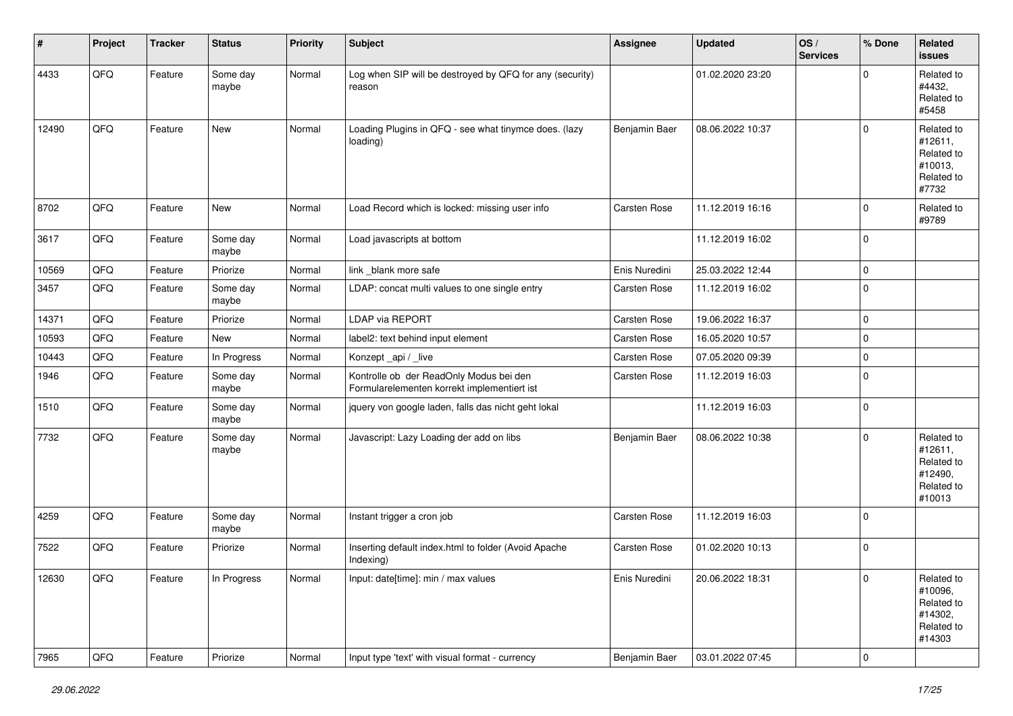| #     | Project | <b>Tracker</b> | <b>Status</b>     | <b>Priority</b> | <b>Subject</b>                                                                         | Assignee      | <b>Updated</b>   | OS/<br><b>Services</b> | % Done                   | Related<br><b>issues</b>                                               |
|-------|---------|----------------|-------------------|-----------------|----------------------------------------------------------------------------------------|---------------|------------------|------------------------|--------------------------|------------------------------------------------------------------------|
| 4433  | QFQ     | Feature        | Some day<br>maybe | Normal          | Log when SIP will be destroyed by QFQ for any (security)<br>reason                     |               | 01.02.2020 23:20 |                        | $\Omega$                 | Related to<br>#4432,<br>Related to<br>#5458                            |
| 12490 | QFQ     | Feature        | New               | Normal          | Loading Plugins in QFQ - see what tinymce does. (lazy<br>loading)                      | Benjamin Baer | 08.06.2022 10:37 |                        | $\Omega$                 | Related to<br>#12611,<br>Related to<br>#10013,<br>Related to<br>#7732  |
| 8702  | QFQ     | Feature        | New               | Normal          | Load Record which is locked: missing user info                                         | Carsten Rose  | 11.12.2019 16:16 |                        | 0                        | Related to<br>#9789                                                    |
| 3617  | QFQ     | Feature        | Some day<br>maybe | Normal          | Load javascripts at bottom                                                             |               | 11.12.2019 16:02 |                        | 0                        |                                                                        |
| 10569 | QFQ     | Feature        | Priorize          | Normal          | link _blank more safe                                                                  | Enis Nuredini | 25.03.2022 12:44 |                        | $\mathbf 0$              |                                                                        |
| 3457  | QFQ     | Feature        | Some day<br>maybe | Normal          | LDAP: concat multi values to one single entry                                          | Carsten Rose  | 11.12.2019 16:02 |                        | 0                        |                                                                        |
| 14371 | QFQ     | Feature        | Priorize          | Normal          | LDAP via REPORT                                                                        | Carsten Rose  | 19.06.2022 16:37 |                        | $\mathbf 0$              |                                                                        |
| 10593 | QFQ     | Feature        | New               | Normal          | label2: text behind input element                                                      | Carsten Rose  | 16.05.2020 10:57 |                        | 0                        |                                                                        |
| 10443 | QFQ     | Feature        | In Progress       | Normal          | Konzept_api / _live                                                                    | Carsten Rose  | 07.05.2020 09:39 |                        | $\mathbf 0$              |                                                                        |
| 1946  | QFQ     | Feature        | Some day<br>maybe | Normal          | Kontrolle ob der ReadOnly Modus bei den<br>Formularelementen korrekt implementiert ist | Carsten Rose  | 11.12.2019 16:03 |                        | 0                        |                                                                        |
| 1510  | QFQ     | Feature        | Some day<br>maybe | Normal          | jquery von google laden, falls das nicht geht lokal                                    |               | 11.12.2019 16:03 |                        | $\mathbf 0$              |                                                                        |
| 7732  | QFQ     | Feature        | Some day<br>maybe | Normal          | Javascript: Lazy Loading der add on libs                                               | Benjamin Baer | 08.06.2022 10:38 |                        | $\mathbf 0$              | Related to<br>#12611,<br>Related to<br>#12490,<br>Related to<br>#10013 |
| 4259  | QFQ     | Feature        | Some day<br>maybe | Normal          | Instant trigger a cron job                                                             | Carsten Rose  | 11.12.2019 16:03 |                        | $\mathbf 0$              |                                                                        |
| 7522  | QFQ     | Feature        | Priorize          | Normal          | Inserting default index.html to folder (Avoid Apache<br>Indexing)                      | Carsten Rose  | 01.02.2020 10:13 |                        | 0                        |                                                                        |
| 12630 | QFQ     | Feature        | In Progress       | Normal          | Input: date[time]: min / max values                                                    | Enis Nuredini | 20.06.2022 18:31 |                        | 0                        | Related to<br>#10096,<br>Related to<br>#14302,<br>Related to<br>#14303 |
| 7965  | QFQ     | Feature        | Priorize          | Normal          | Input type 'text' with visual format - currency                                        | Benjamin Baer | 03.01.2022 07:45 |                        | $\overline{\phantom{0}}$ |                                                                        |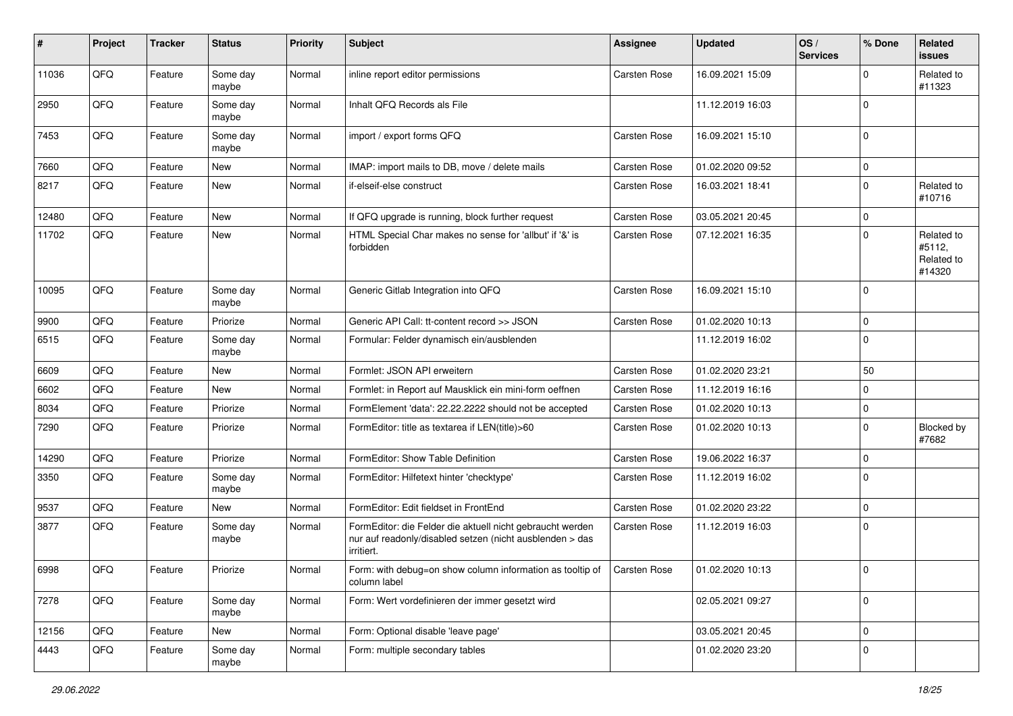| $\sharp$ | Project | <b>Tracker</b> | <b>Status</b>     | <b>Priority</b> | <b>Subject</b>                                                                                                                      | <b>Assignee</b>     | <b>Updated</b>   | OS/<br><b>Services</b> | % Done      | Related<br><b>issues</b>                     |
|----------|---------|----------------|-------------------|-----------------|-------------------------------------------------------------------------------------------------------------------------------------|---------------------|------------------|------------------------|-------------|----------------------------------------------|
| 11036    | QFQ     | Feature        | Some day<br>maybe | Normal          | inline report editor permissions                                                                                                    | Carsten Rose        | 16.09.2021 15:09 |                        | $\Omega$    | Related to<br>#11323                         |
| 2950     | QFQ     | Feature        | Some day<br>maybe | Normal          | Inhalt QFQ Records als File                                                                                                         |                     | 11.12.2019 16:03 |                        | 0           |                                              |
| 7453     | QFQ     | Feature        | Some day<br>maybe | Normal          | import / export forms QFQ                                                                                                           | Carsten Rose        | 16.09.2021 15:10 |                        | $\mathbf 0$ |                                              |
| 7660     | QFQ     | Feature        | <b>New</b>        | Normal          | IMAP: import mails to DB, move / delete mails                                                                                       | Carsten Rose        | 01.02.2020 09:52 |                        | 0           |                                              |
| 8217     | QFQ     | Feature        | New               | Normal          | if-elseif-else construct                                                                                                            | Carsten Rose        | 16.03.2021 18:41 |                        | $\Omega$    | Related to<br>#10716                         |
| 12480    | QFQ     | Feature        | <b>New</b>        | Normal          | If QFQ upgrade is running, block further request                                                                                    | Carsten Rose        | 03.05.2021 20:45 |                        | $\mathbf 0$ |                                              |
| 11702    | QFQ     | Feature        | New               | Normal          | HTML Special Char makes no sense for 'allbut' if '&' is<br>forbidden                                                                | Carsten Rose        | 07.12.2021 16:35 |                        | $\mathbf 0$ | Related to<br>#5112,<br>Related to<br>#14320 |
| 10095    | QFQ     | Feature        | Some day<br>maybe | Normal          | Generic Gitlab Integration into QFQ                                                                                                 | Carsten Rose        | 16.09.2021 15:10 |                        | $\mathbf 0$ |                                              |
| 9900     | QFQ     | Feature        | Priorize          | Normal          | Generic API Call: tt-content record >> JSON                                                                                         | Carsten Rose        | 01.02.2020 10:13 |                        | $\mathbf 0$ |                                              |
| 6515     | QFQ     | Feature        | Some day<br>maybe | Normal          | Formular: Felder dynamisch ein/ausblenden                                                                                           |                     | 11.12.2019 16:02 |                        | $\mathbf 0$ |                                              |
| 6609     | QFQ     | Feature        | <b>New</b>        | Normal          | Formlet: JSON API erweitern                                                                                                         | Carsten Rose        | 01.02.2020 23:21 |                        | 50          |                                              |
| 6602     | QFQ     | Feature        | <b>New</b>        | Normal          | Formlet: in Report auf Mausklick ein mini-form oeffnen                                                                              | Carsten Rose        | 11.12.2019 16:16 |                        | $\mathbf 0$ |                                              |
| 8034     | QFQ     | Feature        | Priorize          | Normal          | FormElement 'data': 22.22.2222 should not be accepted                                                                               | Carsten Rose        | 01.02.2020 10:13 |                        | $\mathbf 0$ |                                              |
| 7290     | QFQ     | Feature        | Priorize          | Normal          | FormEditor: title as textarea if LEN(title)>60                                                                                      | Carsten Rose        | 01.02.2020 10:13 |                        | $\Omega$    | Blocked by<br>#7682                          |
| 14290    | QFQ     | Feature        | Priorize          | Normal          | FormEditor: Show Table Definition                                                                                                   | Carsten Rose        | 19.06.2022 16:37 |                        | $\Omega$    |                                              |
| 3350     | QFQ     | Feature        | Some day<br>maybe | Normal          | FormEditor: Hilfetext hinter 'checktype'                                                                                            | Carsten Rose        | 11.12.2019 16:02 |                        | $\Omega$    |                                              |
| 9537     | QFQ     | Feature        | <b>New</b>        | Normal          | FormEditor: Edit fieldset in FrontEnd                                                                                               | Carsten Rose        | 01.02.2020 23:22 |                        | $\Omega$    |                                              |
| 3877     | QFQ     | Feature        | Some day<br>maybe | Normal          | FormEditor: die Felder die aktuell nicht gebraucht werden<br>nur auf readonly/disabled setzen (nicht ausblenden > das<br>irritiert. | Carsten Rose        | 11.12.2019 16:03 |                        | $\mathbf 0$ |                                              |
| 6998     | QFQ     | Feature        | Priorize          | Normal          | Form: with debug=on show column information as tooltip of<br>column label                                                           | <b>Carsten Rose</b> | 01.02.2020 10:13 |                        | 0           |                                              |
| 7278     | QFG     | Feature        | Some day<br>maybe | Normal          | Form: Wert vordefinieren der immer gesetzt wird                                                                                     |                     | 02.05.2021 09:27 |                        | $\mathbf 0$ |                                              |
| 12156    | QFG     | Feature        | New               | Normal          | Form: Optional disable 'leave page'                                                                                                 |                     | 03.05.2021 20:45 |                        | $\mathbf 0$ |                                              |
| 4443     | QFQ     | Feature        | Some day<br>maybe | Normal          | Form: multiple secondary tables                                                                                                     |                     | 01.02.2020 23:20 |                        | $\mathbf 0$ |                                              |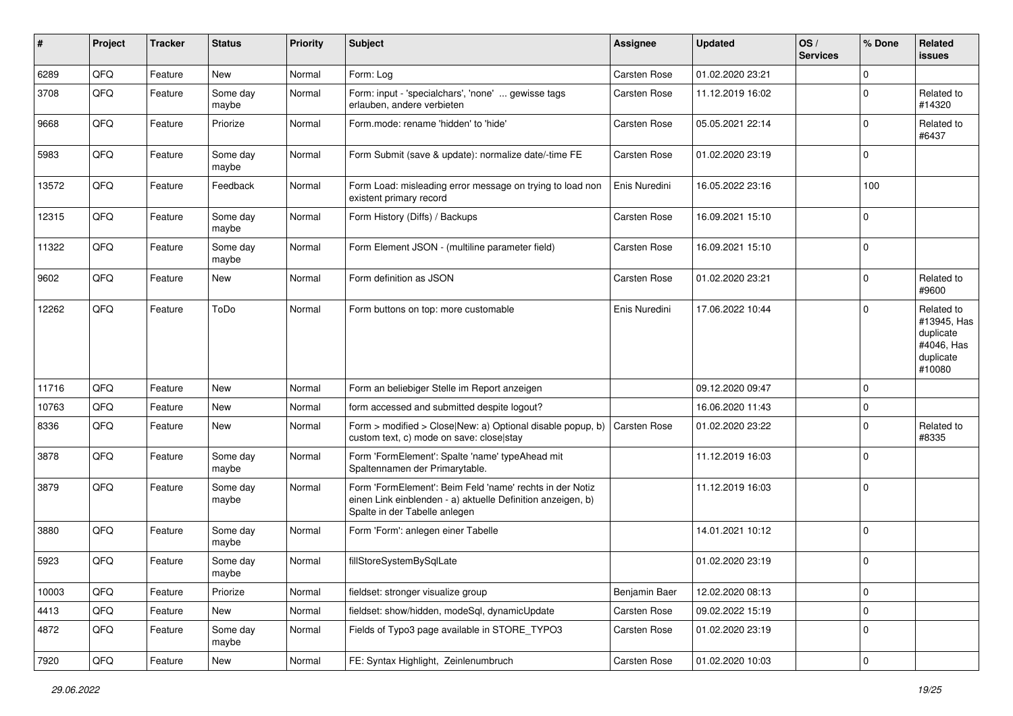| $\sharp$ | Project | <b>Tracker</b> | <b>Status</b>     | <b>Priority</b> | Subject                                                                                                                                                  | Assignee      | <b>Updated</b>   | OS/<br><b>Services</b> | % Done      | Related<br>issues                                                           |
|----------|---------|----------------|-------------------|-----------------|----------------------------------------------------------------------------------------------------------------------------------------------------------|---------------|------------------|------------------------|-------------|-----------------------------------------------------------------------------|
| 6289     | QFQ     | Feature        | <b>New</b>        | Normal          | Form: Log                                                                                                                                                | Carsten Rose  | 01.02.2020 23:21 |                        | $\Omega$    |                                                                             |
| 3708     | QFQ     | Feature        | Some day<br>maybe | Normal          | Form: input - 'specialchars', 'none'  gewisse tags<br>erlauben, andere verbieten                                                                         | Carsten Rose  | 11.12.2019 16:02 |                        | $\Omega$    | Related to<br>#14320                                                        |
| 9668     | QFQ     | Feature        | Priorize          | Normal          | Form.mode: rename 'hidden' to 'hide'                                                                                                                     | Carsten Rose  | 05.05.2021 22:14 |                        | $\mathbf 0$ | Related to<br>#6437                                                         |
| 5983     | QFQ     | Feature        | Some day<br>maybe | Normal          | Form Submit (save & update): normalize date/-time FE                                                                                                     | Carsten Rose  | 01.02.2020 23:19 |                        | $\Omega$    |                                                                             |
| 13572    | QFQ     | Feature        | Feedback          | Normal          | Form Load: misleading error message on trying to load non<br>existent primary record                                                                     | Enis Nuredini | 16.05.2022 23:16 |                        | 100         |                                                                             |
| 12315    | QFQ     | Feature        | Some day<br>maybe | Normal          | Form History (Diffs) / Backups                                                                                                                           | Carsten Rose  | 16.09.2021 15:10 |                        | $\Omega$    |                                                                             |
| 11322    | QFQ     | Feature        | Some day<br>maybe | Normal          | Form Element JSON - (multiline parameter field)                                                                                                          | Carsten Rose  | 16.09.2021 15:10 |                        | $\mathbf 0$ |                                                                             |
| 9602     | QFQ     | Feature        | New               | Normal          | Form definition as JSON                                                                                                                                  | Carsten Rose  | 01.02.2020 23:21 |                        | $\mathbf 0$ | Related to<br>#9600                                                         |
| 12262    | QFQ     | Feature        | ToDo              | Normal          | Form buttons on top: more customable                                                                                                                     | Enis Nuredini | 17.06.2022 10:44 |                        | $\Omega$    | Related to<br>#13945, Has<br>duplicate<br>#4046, Has<br>duplicate<br>#10080 |
| 11716    | QFQ     | Feature        | <b>New</b>        | Normal          | Form an beliebiger Stelle im Report anzeigen                                                                                                             |               | 09.12.2020 09:47 |                        | $\Omega$    |                                                                             |
| 10763    | QFQ     | Feature        | <b>New</b>        | Normal          | form accessed and submitted despite logout?                                                                                                              |               | 16.06.2020 11:43 |                        | 0           |                                                                             |
| 8336     | QFQ     | Feature        | New               | Normal          | Form > modified > Close New: a) Optional disable popup, b)<br>custom text, c) mode on save: close stay                                                   | Carsten Rose  | 01.02.2020 23:22 |                        | $\Omega$    | Related to<br>#8335                                                         |
| 3878     | QFQ     | Feature        | Some day<br>maybe | Normal          | Form 'FormElement': Spalte 'name' typeAhead mit<br>Spaltennamen der Primarytable.                                                                        |               | 11.12.2019 16:03 |                        | $\Omega$    |                                                                             |
| 3879     | QFQ     | Feature        | Some day<br>maybe | Normal          | Form 'FormElement': Beim Feld 'name' rechts in der Notiz<br>einen Link einblenden - a) aktuelle Definition anzeigen, b)<br>Spalte in der Tabelle anlegen |               | 11.12.2019 16:03 |                        | $\Omega$    |                                                                             |
| 3880     | QFQ     | Feature        | Some day<br>maybe | Normal          | Form 'Form': anlegen einer Tabelle                                                                                                                       |               | 14.01.2021 10:12 |                        | $\Omega$    |                                                                             |
| 5923     | QFQ     | Feature        | Some day<br>maybe | Normal          | fillStoreSystemBySqlLate                                                                                                                                 |               | 01.02.2020 23:19 |                        | $\Omega$    |                                                                             |
| 10003    | QFQ     | Feature        | Priorize          | Normal          | fieldset: stronger visualize group                                                                                                                       | Benjamin Baer | 12.02.2020 08:13 |                        | $\mathbf 0$ |                                                                             |
| 4413     | QFQ     | Feature        | New               | Normal          | fieldset: show/hidden, modeSql, dynamicUpdate                                                                                                            | Carsten Rose  | 09.02.2022 15:19 |                        | 0           |                                                                             |
| 4872     | QFQ     | Feature        | Some day<br>maybe | Normal          | Fields of Typo3 page available in STORE_TYPO3                                                                                                            | Carsten Rose  | 01.02.2020 23:19 |                        | $\mathbf 0$ |                                                                             |
| 7920     | QFG     | Feature        | New               | Normal          | FE: Syntax Highlight, Zeinlenumbruch                                                                                                                     | Carsten Rose  | 01.02.2020 10:03 |                        | $\mathbf 0$ |                                                                             |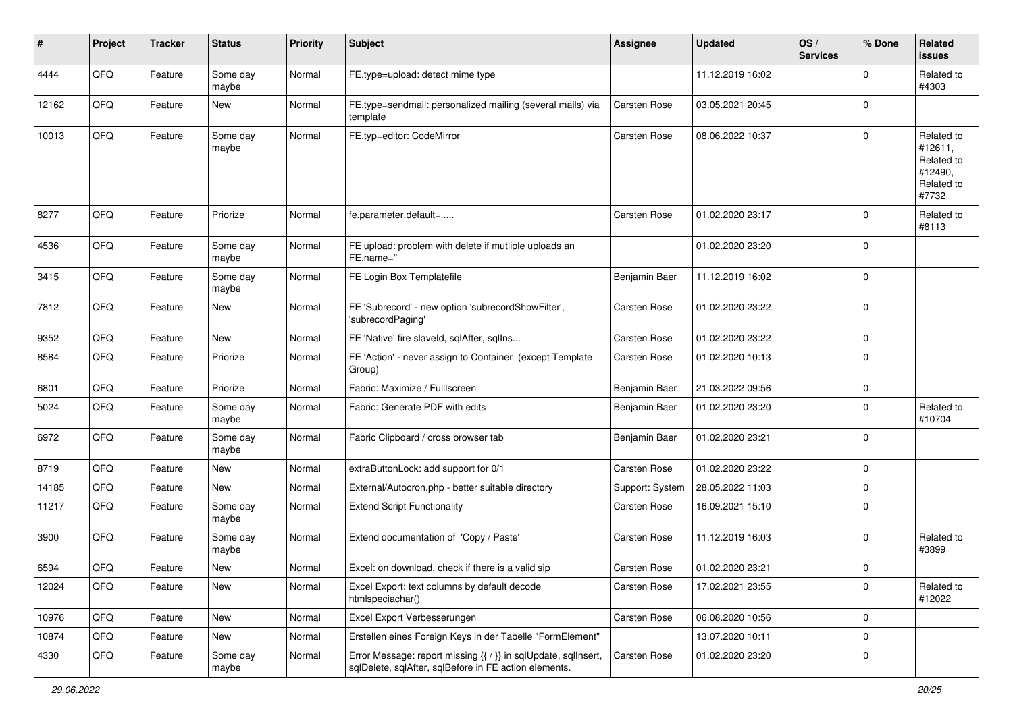| $\#$  | Project | <b>Tracker</b> | <b>Status</b>     | <b>Priority</b> | <b>Subject</b>                                                                                                          | Assignee            | <b>Updated</b>   | OS/<br><b>Services</b> | % Done      | Related<br><b>issues</b>                                              |
|-------|---------|----------------|-------------------|-----------------|-------------------------------------------------------------------------------------------------------------------------|---------------------|------------------|------------------------|-------------|-----------------------------------------------------------------------|
| 4444  | QFQ     | Feature        | Some day<br>maybe | Normal          | FE.type=upload: detect mime type                                                                                        |                     | 11.12.2019 16:02 |                        | $\Omega$    | Related to<br>#4303                                                   |
| 12162 | QFQ     | Feature        | New               | Normal          | FE.type=sendmail: personalized mailing (several mails) via<br>template                                                  | Carsten Rose        | 03.05.2021 20:45 |                        | $\Omega$    |                                                                       |
| 10013 | QFQ     | Feature        | Some day<br>maybe | Normal          | FE.typ=editor: CodeMirror                                                                                               | Carsten Rose        | 08.06.2022 10:37 |                        | $\Omega$    | Related to<br>#12611,<br>Related to<br>#12490,<br>Related to<br>#7732 |
| 8277  | QFQ     | Feature        | Priorize          | Normal          | fe.parameter.default=                                                                                                   | <b>Carsten Rose</b> | 01.02.2020 23:17 |                        | $\Omega$    | Related to<br>#8113                                                   |
| 4536  | QFQ     | Feature        | Some day<br>maybe | Normal          | FE upload: problem with delete if mutliple uploads an<br>FE.name="                                                      |                     | 01.02.2020 23:20 |                        | $\Omega$    |                                                                       |
| 3415  | QFQ     | Feature        | Some day<br>maybe | Normal          | FE Login Box Templatefile                                                                                               | Benjamin Baer       | 11.12.2019 16:02 |                        | $\mathbf 0$ |                                                                       |
| 7812  | QFQ     | Feature        | New               | Normal          | FE 'Subrecord' - new option 'subrecordShowFilter',<br>'subrecordPaging'                                                 | Carsten Rose        | 01.02.2020 23:22 |                        | $\mathbf 0$ |                                                                       |
| 9352  | QFQ     | Feature        | New               | Normal          | FE 'Native' fire slaveld, sqlAfter, sqlIns                                                                              | Carsten Rose        | 01.02.2020 23:22 |                        | 0           |                                                                       |
| 8584  | QFQ     | Feature        | Priorize          | Normal          | FE 'Action' - never assign to Container (except Template<br>Group)                                                      | Carsten Rose        | 01.02.2020 10:13 |                        | $\Omega$    |                                                                       |
| 6801  | QFQ     | Feature        | Priorize          | Normal          | Fabric: Maximize / FullIscreen                                                                                          | Benjamin Baer       | 21.03.2022 09:56 |                        | $\Omega$    |                                                                       |
| 5024  | QFQ     | Feature        | Some day<br>maybe | Normal          | Fabric: Generate PDF with edits                                                                                         | Benjamin Baer       | 01.02.2020 23:20 |                        | $\Omega$    | Related to<br>#10704                                                  |
| 6972  | QFQ     | Feature        | Some day<br>maybe | Normal          | Fabric Clipboard / cross browser tab                                                                                    | Benjamin Baer       | 01.02.2020 23:21 |                        | $\mathbf 0$ |                                                                       |
| 8719  | QFQ     | Feature        | <b>New</b>        | Normal          | extraButtonLock: add support for 0/1                                                                                    | Carsten Rose        | 01.02.2020 23:22 |                        | $\Omega$    |                                                                       |
| 14185 | QFQ     | Feature        | New               | Normal          | External/Autocron.php - better suitable directory                                                                       | Support: System     | 28.05.2022 11:03 |                        | $\mathbf 0$ |                                                                       |
| 11217 | QFQ     | Feature        | Some day<br>maybe | Normal          | <b>Extend Script Functionality</b>                                                                                      | Carsten Rose        | 16.09.2021 15:10 |                        | $\mathbf 0$ |                                                                       |
| 3900  | QFQ     | Feature        | Some day<br>maybe | Normal          | Extend documentation of 'Copy / Paste'                                                                                  | Carsten Rose        | 11.12.2019 16:03 |                        | $\mathbf 0$ | Related to<br>#3899                                                   |
| 6594  | QFQ     | Feature        | New               | Normal          | Excel: on download, check if there is a valid sip                                                                       | Carsten Rose        | 01.02.2020 23:21 |                        | $\Omega$    |                                                                       |
| 12024 | QFQ     | Feature        | New               | Normal          | Excel Export: text columns by default decode<br>htmlspeciachar()                                                        | Carsten Rose        | 17.02.2021 23:55 |                        | $\mathbf 0$ | Related to<br>#12022                                                  |
| 10976 | QFQ     | Feature        | New               | Normal          | Excel Export Verbesserungen                                                                                             | Carsten Rose        | 06.08.2020 10:56 |                        | $\mathbf 0$ |                                                                       |
| 10874 | QFQ     | Feature        | New               | Normal          | Erstellen eines Foreign Keys in der Tabelle "FormElement"                                                               |                     | 13.07.2020 10:11 |                        | $\mathbf 0$ |                                                                       |
| 4330  | QFQ     | Feature        | Some day<br>maybe | Normal          | Error Message: report missing {{ / }} in sqlUpdate, sqlInsert,<br>sqlDelete, sqlAfter, sqlBefore in FE action elements. | Carsten Rose        | 01.02.2020 23:20 |                        | 0           |                                                                       |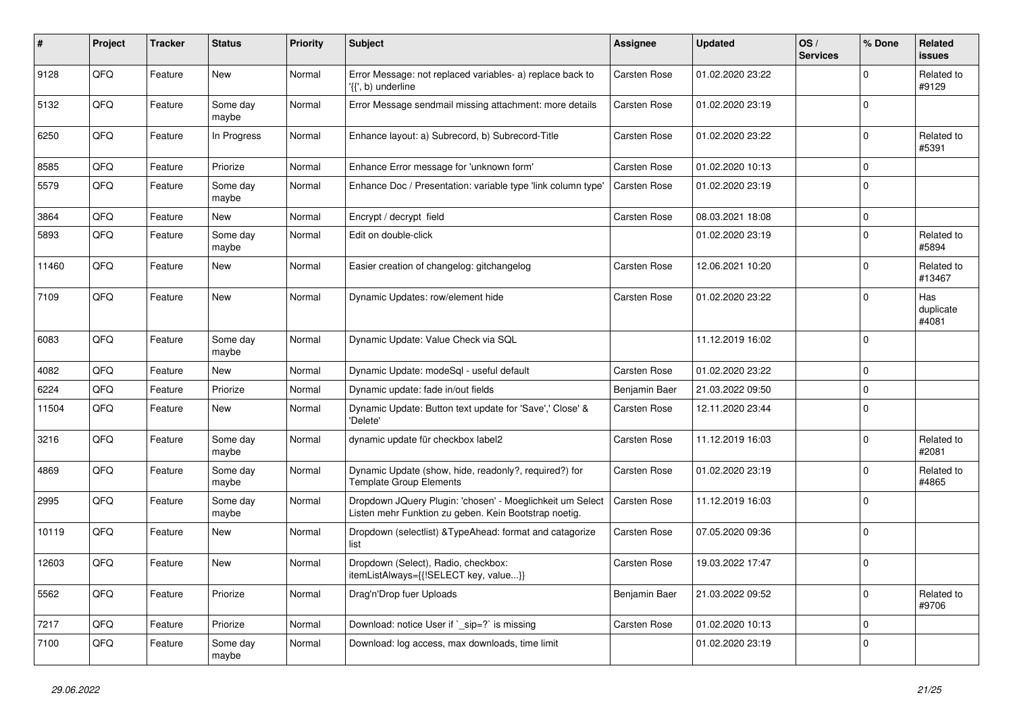| $\vert$ # | Project | <b>Tracker</b> | <b>Status</b>     | <b>Priority</b> | <b>Subject</b>                                                                                                     | Assignee            | <b>Updated</b>   | OS/<br><b>Services</b> | % Done      | Related<br>issues         |
|-----------|---------|----------------|-------------------|-----------------|--------------------------------------------------------------------------------------------------------------------|---------------------|------------------|------------------------|-------------|---------------------------|
| 9128      | QFQ     | Feature        | <b>New</b>        | Normal          | Error Message: not replaced variables- a) replace back to<br>$\langle \{ \}$ , b) underline                        | Carsten Rose        | 01.02.2020 23:22 |                        | $\Omega$    | Related to<br>#9129       |
| 5132      | QFQ     | Feature        | Some day<br>maybe | Normal          | Error Message sendmail missing attachment: more details                                                            | <b>Carsten Rose</b> | 01.02.2020 23:19 |                        | $\mathbf 0$ |                           |
| 6250      | QFQ     | Feature        | In Progress       | Normal          | Enhance layout: a) Subrecord, b) Subrecord-Title                                                                   | Carsten Rose        | 01.02.2020 23:22 |                        | $\Omega$    | Related to<br>#5391       |
| 8585      | QFQ     | Feature        | Priorize          | Normal          | Enhance Error message for 'unknown form'                                                                           | Carsten Rose        | 01.02.2020 10:13 |                        | $\Omega$    |                           |
| 5579      | QFQ     | Feature        | Some day<br>maybe | Normal          | Enhance Doc / Presentation: variable type 'link column type'                                                       | Carsten Rose        | 01.02.2020 23:19 |                        | $\Omega$    |                           |
| 3864      | QFQ     | Feature        | New               | Normal          | Encrypt / decrypt field                                                                                            | <b>Carsten Rose</b> | 08.03.2021 18:08 |                        | $\Omega$    |                           |
| 5893      | QFQ     | Feature        | Some day<br>maybe | Normal          | Edit on double-click                                                                                               |                     | 01.02.2020 23:19 |                        | $\Omega$    | Related to<br>#5894       |
| 11460     | QFQ     | Feature        | New               | Normal          | Easier creation of changelog: gitchangelog                                                                         | <b>Carsten Rose</b> | 12.06.2021 10:20 |                        | $\Omega$    | Related to<br>#13467      |
| 7109      | QFQ     | Feature        | <b>New</b>        | Normal          | Dynamic Updates: row/element hide                                                                                  | <b>Carsten Rose</b> | 01.02.2020 23:22 |                        | $\Omega$    | Has<br>duplicate<br>#4081 |
| 6083      | QFQ     | Feature        | Some day<br>maybe | Normal          | Dynamic Update: Value Check via SQL                                                                                |                     | 11.12.2019 16:02 |                        | $\Omega$    |                           |
| 4082      | QFQ     | Feature        | <b>New</b>        | Normal          | Dynamic Update: modeSql - useful default                                                                           | Carsten Rose        | 01.02.2020 23:22 |                        | $\Omega$    |                           |
| 6224      | QFQ     | Feature        | Priorize          | Normal          | Dynamic update: fade in/out fields                                                                                 | Benjamin Baer       | 21.03.2022 09:50 |                        | $\Omega$    |                           |
| 11504     | QFQ     | Feature        | <b>New</b>        | Normal          | Dynamic Update: Button text update for 'Save',' Close' &<br>'Delete'                                               | Carsten Rose        | 12.11.2020 23:44 |                        | $\Omega$    |                           |
| 3216      | QFQ     | Feature        | Some day<br>maybe | Normal          | dynamic update für checkbox label2                                                                                 | <b>Carsten Rose</b> | 11.12.2019 16:03 |                        | $\Omega$    | Related to<br>#2081       |
| 4869      | QFQ     | Feature        | Some day<br>maybe | Normal          | Dynamic Update (show, hide, readonly?, required?) for<br><b>Template Group Elements</b>                            | <b>Carsten Rose</b> | 01.02.2020 23:19 |                        | $\Omega$    | Related to<br>#4865       |
| 2995      | QFQ     | Feature        | Some day<br>maybe | Normal          | Dropdown JQuery Plugin: 'chosen' - Moeglichkeit um Select<br>Listen mehr Funktion zu geben. Kein Bootstrap noetig. | Carsten Rose        | 11.12.2019 16:03 |                        | $\Omega$    |                           |
| 10119     | QFQ     | Feature        | <b>New</b>        | Normal          | Dropdown (selectlist) & Type Ahead: format and catagorize<br>list                                                  | <b>Carsten Rose</b> | 07.05.2020 09:36 |                        | $\Omega$    |                           |
| 12603     | QFQ     | Feature        | New               | Normal          | Dropdown (Select), Radio, checkbox:<br>itemListAlways={{!SELECT key, value}}                                       | Carsten Rose        | 19.03.2022 17:47 |                        | $\Omega$    |                           |
| 5562      | QFQ     | Feature        | Priorize          | Normal          | Drag'n'Drop fuer Uploads                                                                                           | Benjamin Baer       | 21.03.2022 09:52 |                        | $\Omega$    | Related to<br>#9706       |
| 7217      | QFQ     | Feature        | Priorize          | Normal          | Download: notice User if `_sip=?` is missing                                                                       | Carsten Rose        | 01.02.2020 10:13 |                        | $\Omega$    |                           |
| 7100      | QFQ     | Feature        | Some day<br>maybe | Normal          | Download: log access, max downloads, time limit                                                                    |                     | 01.02.2020 23:19 |                        | $\Omega$    |                           |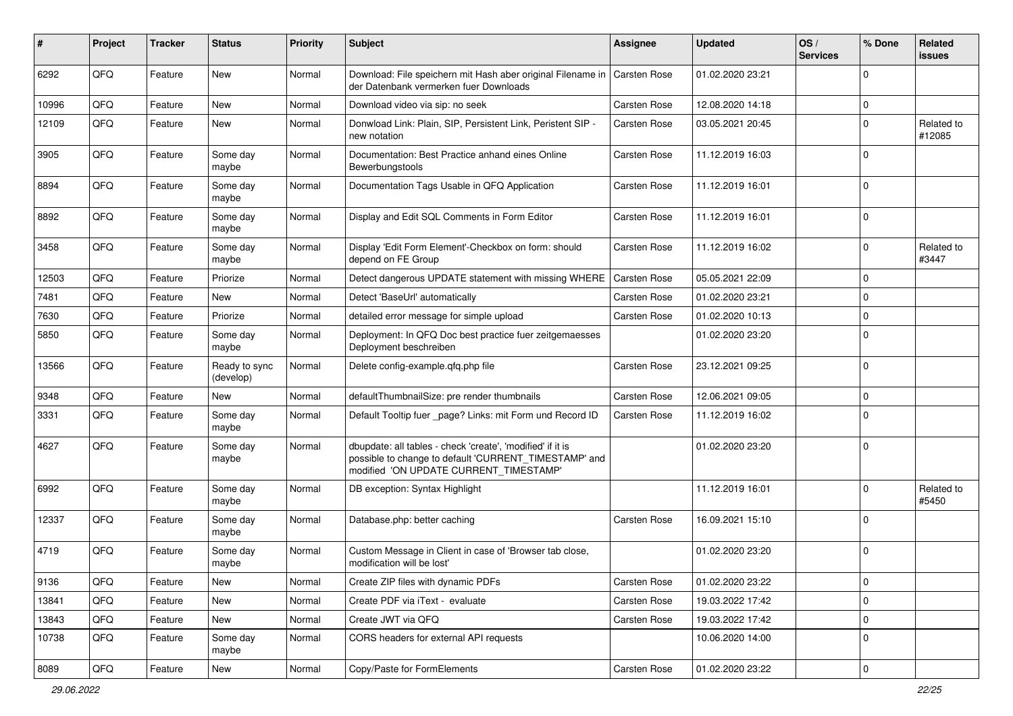| $\sharp$ | Project | <b>Tracker</b> | <b>Status</b>              | <b>Priority</b> | Subject                                                                                                                                                       | Assignee     | <b>Updated</b>   | OS/<br><b>Services</b> | % Done      | Related<br>issues    |
|----------|---------|----------------|----------------------------|-----------------|---------------------------------------------------------------------------------------------------------------------------------------------------------------|--------------|------------------|------------------------|-------------|----------------------|
| 6292     | QFQ     | Feature        | <b>New</b>                 | Normal          | Download: File speichern mit Hash aber original Filename in   Carsten Rose<br>der Datenbank vermerken fuer Downloads                                          |              | 01.02.2020 23:21 |                        | $\Omega$    |                      |
| 10996    | QFQ     | Feature        | New                        | Normal          | Download video via sip: no seek                                                                                                                               | Carsten Rose | 12.08.2020 14:18 |                        | $\mathbf 0$ |                      |
| 12109    | QFQ     | Feature        | New                        | Normal          | Donwload Link: Plain, SIP, Persistent Link, Peristent SIP -<br>new notation                                                                                   | Carsten Rose | 03.05.2021 20:45 |                        | $\Omega$    | Related to<br>#12085 |
| 3905     | QFQ     | Feature        | Some day<br>maybe          | Normal          | Documentation: Best Practice anhand eines Online<br>Bewerbungstools                                                                                           | Carsten Rose | 11.12.2019 16:03 |                        | $\Omega$    |                      |
| 8894     | QFQ     | Feature        | Some day<br>maybe          | Normal          | Documentation Tags Usable in QFQ Application                                                                                                                  | Carsten Rose | 11.12.2019 16:01 |                        | $\Omega$    |                      |
| 8892     | QFQ     | Feature        | Some day<br>maybe          | Normal          | Display and Edit SQL Comments in Form Editor                                                                                                                  | Carsten Rose | 11.12.2019 16:01 |                        | $\Omega$    |                      |
| 3458     | QFQ     | Feature        | Some day<br>maybe          | Normal          | Display 'Edit Form Element'-Checkbox on form: should<br>depend on FE Group                                                                                    | Carsten Rose | 11.12.2019 16:02 |                        | $\Omega$    | Related to<br>#3447  |
| 12503    | QFQ     | Feature        | Priorize                   | Normal          | Detect dangerous UPDATE statement with missing WHERE                                                                                                          | Carsten Rose | 05.05.2021 22:09 |                        | $\mathbf 0$ |                      |
| 7481     | QFQ     | Feature        | <b>New</b>                 | Normal          | Detect 'BaseUrl' automatically                                                                                                                                | Carsten Rose | 01.02.2020 23:21 |                        | $\Omega$    |                      |
| 7630     | QFQ     | Feature        | Priorize                   | Normal          | detailed error message for simple upload                                                                                                                      | Carsten Rose | 01.02.2020 10:13 |                        | $\Omega$    |                      |
| 5850     | QFQ     | Feature        | Some day<br>maybe          | Normal          | Deployment: In QFQ Doc best practice fuer zeitgemaesses<br>Deployment beschreiben                                                                             |              | 01.02.2020 23:20 |                        | $\Omega$    |                      |
| 13566    | QFQ     | Feature        | Ready to sync<br>(develop) | Normal          | Delete config-example.qfq.php file                                                                                                                            | Carsten Rose | 23.12.2021 09:25 |                        | $\Omega$    |                      |
| 9348     | QFQ     | Feature        | <b>New</b>                 | Normal          | defaultThumbnailSize: pre render thumbnails                                                                                                                   | Carsten Rose | 12.06.2021 09:05 |                        | 0           |                      |
| 3331     | QFQ     | Feature        | Some day<br>maybe          | Normal          | Default Tooltip fuer _page? Links: mit Form und Record ID                                                                                                     | Carsten Rose | 11.12.2019 16:02 |                        | $\Omega$    |                      |
| 4627     | QFQ     | Feature        | Some day<br>maybe          | Normal          | dbupdate: all tables - check 'create', 'modified' if it is<br>possible to change to default 'CURRENT_TIMESTAMP' and<br>modified 'ON UPDATE CURRENT_TIMESTAMP' |              | 01.02.2020 23:20 |                        | $\Omega$    |                      |
| 6992     | QFQ     | Feature        | Some day<br>maybe          | Normal          | DB exception: Syntax Highlight                                                                                                                                |              | 11.12.2019 16:01 |                        | $\Omega$    | Related to<br>#5450  |
| 12337    | QFQ     | Feature        | Some day<br>maybe          | Normal          | Database.php: better caching                                                                                                                                  | Carsten Rose | 16.09.2021 15:10 |                        | $\Omega$    |                      |
| 4719     | QFQ     | Feature        | Some day<br>maybe          | Normal          | Custom Message in Client in case of 'Browser tab close,<br>modification will be lost'                                                                         |              | 01.02.2020 23:20 |                        | $\mathbf 0$ |                      |
| 9136     | QFQ     | Feature        | New                        | Normal          | Create ZIP files with dynamic PDFs                                                                                                                            | Carsten Rose | 01.02.2020 23:22 |                        | 0           |                      |
| 13841    | QFQ     | Feature        | New                        | Normal          | Create PDF via iText - evaluate                                                                                                                               | Carsten Rose | 19.03.2022 17:42 |                        | $\mathbf 0$ |                      |
| 13843    | QFQ     | Feature        | New                        | Normal          | Create JWT via QFQ                                                                                                                                            | Carsten Rose | 19.03.2022 17:42 |                        | 0           |                      |
| 10738    | QFQ     | Feature        | Some day<br>maybe          | Normal          | CORS headers for external API requests                                                                                                                        |              | 10.06.2020 14:00 |                        | 0           |                      |
| 8089     | QFQ     | Feature        | New                        | Normal          | Copy/Paste for FormElements                                                                                                                                   | Carsten Rose | 01.02.2020 23:22 |                        | 0           |                      |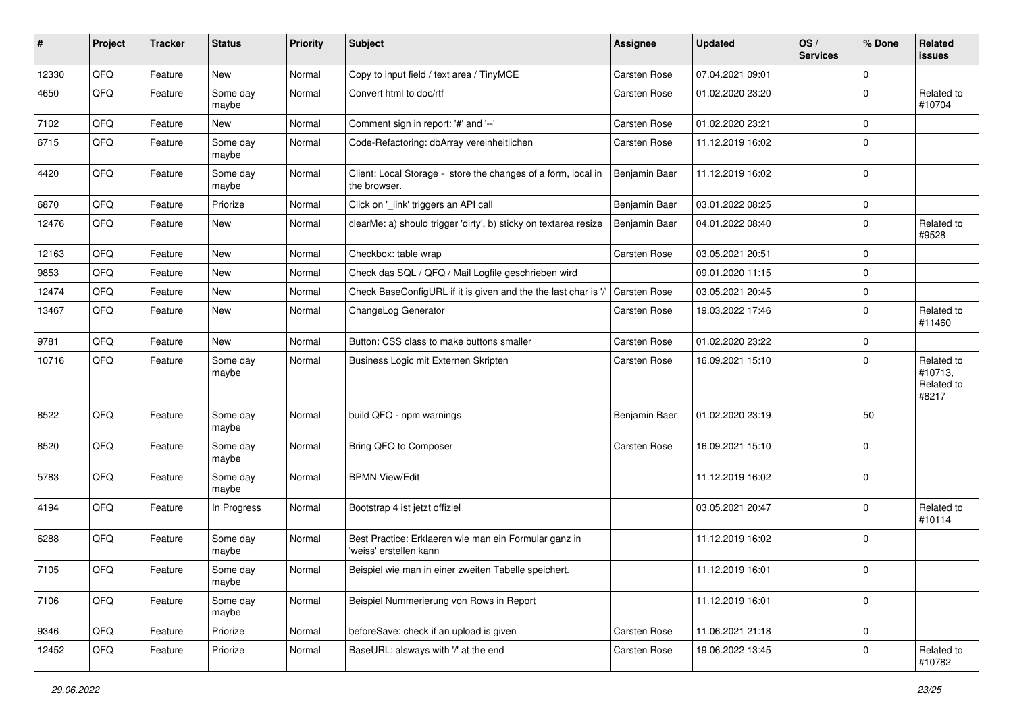| ∦     | Project | <b>Tracker</b> | <b>Status</b>     | <b>Priority</b> | <b>Subject</b>                                                                 | Assignee      | <b>Updated</b>   | OS/<br><b>Services</b> | % Done      | Related<br>issues                            |
|-------|---------|----------------|-------------------|-----------------|--------------------------------------------------------------------------------|---------------|------------------|------------------------|-------------|----------------------------------------------|
| 12330 | QFQ     | Feature        | <b>New</b>        | Normal          | Copy to input field / text area / TinyMCE                                      | Carsten Rose  | 07.04.2021 09:01 |                        | $\Omega$    |                                              |
| 4650  | QFQ     | Feature        | Some day<br>maybe | Normal          | Convert html to doc/rtf                                                        | Carsten Rose  | 01.02.2020 23:20 |                        | $\Omega$    | Related to<br>#10704                         |
| 7102  | QFQ     | Feature        | New               | Normal          | Comment sign in report: '#' and '--'                                           | Carsten Rose  | 01.02.2020 23:21 |                        | 0           |                                              |
| 6715  | QFQ     | Feature        | Some day<br>maybe | Normal          | Code-Refactoring: dbArray vereinheitlichen                                     | Carsten Rose  | 11.12.2019 16:02 |                        | $\Omega$    |                                              |
| 4420  | QFQ     | Feature        | Some day<br>maybe | Normal          | Client: Local Storage - store the changes of a form, local in<br>the browser.  | Benjamin Baer | 11.12.2019 16:02 |                        | $\Omega$    |                                              |
| 6870  | QFQ     | Feature        | Priorize          | Normal          | Click on '_link' triggers an API call                                          | Benjamin Baer | 03.01.2022 08:25 |                        | $\mathbf 0$ |                                              |
| 12476 | QFQ     | Feature        | New               | Normal          | clearMe: a) should trigger 'dirty', b) sticky on textarea resize               | Benjamin Baer | 04.01.2022 08:40 |                        | $\Omega$    | Related to<br>#9528                          |
| 12163 | QFQ     | Feature        | New               | Normal          | Checkbox: table wrap                                                           | Carsten Rose  | 03.05.2021 20:51 |                        | 0           |                                              |
| 9853  | QFQ     | Feature        | <b>New</b>        | Normal          | Check das SQL / QFQ / Mail Logfile geschrieben wird                            |               | 09.01.2020 11:15 |                        | $\Omega$    |                                              |
| 12474 | QFQ     | Feature        | <b>New</b>        | Normal          | Check BaseConfigURL if it is given and the the last char is '/                 | Carsten Rose  | 03.05.2021 20:45 |                        | $\mathbf 0$ |                                              |
| 13467 | QFQ     | Feature        | New               | Normal          | ChangeLog Generator                                                            | Carsten Rose  | 19.03.2022 17:46 |                        | $\Omega$    | Related to<br>#11460                         |
| 9781  | QFQ     | Feature        | <b>New</b>        | Normal          | Button: CSS class to make buttons smaller                                      | Carsten Rose  | 01.02.2020 23:22 |                        | $\Omega$    |                                              |
| 10716 | QFQ     | Feature        | Some day<br>maybe | Normal          | Business Logic mit Externen Skripten                                           | Carsten Rose  | 16.09.2021 15:10 |                        | $\Omega$    | Related to<br>#10713,<br>Related to<br>#8217 |
| 8522  | QFQ     | Feature        | Some day<br>maybe | Normal          | build QFQ - npm warnings                                                       | Benjamin Baer | 01.02.2020 23:19 |                        | 50          |                                              |
| 8520  | QFQ     | Feature        | Some day<br>maybe | Normal          | Bring QFQ to Composer                                                          | Carsten Rose  | 16.09.2021 15:10 |                        | $\Omega$    |                                              |
| 5783  | QFQ     | Feature        | Some day<br>maybe | Normal          | <b>BPMN View/Edit</b>                                                          |               | 11.12.2019 16:02 |                        | $\mathbf 0$ |                                              |
| 4194  | QFQ     | Feature        | In Progress       | Normal          | Bootstrap 4 ist jetzt offiziel                                                 |               | 03.05.2021 20:47 |                        | $\Omega$    | Related to<br>#10114                         |
| 6288  | QFQ     | Feature        | Some day<br>maybe | Normal          | Best Practice: Erklaeren wie man ein Formular ganz in<br>weiss' erstellen kann |               | 11.12.2019 16:02 |                        | $\Omega$    |                                              |
| 7105  | QFQ     | Feature        | Some day<br>maybe | Normal          | Beispiel wie man in einer zweiten Tabelle speichert.                           |               | 11.12.2019 16:01 |                        | 0           |                                              |
| 7106  | QFQ     | Feature        | Some day<br>maybe | Normal          | Beispiel Nummerierung von Rows in Report                                       |               | 11.12.2019 16:01 |                        | $\mathbf 0$ |                                              |
| 9346  | QFQ     | Feature        | Priorize          | Normal          | beforeSave: check if an upload is given                                        | Carsten Rose  | 11.06.2021 21:18 |                        | $\mathbf 0$ |                                              |
| 12452 | QFQ     | Feature        | Priorize          | Normal          | BaseURL: alsways with '/' at the end                                           | Carsten Rose  | 19.06.2022 13:45 |                        | $\mathbf 0$ | Related to<br>#10782                         |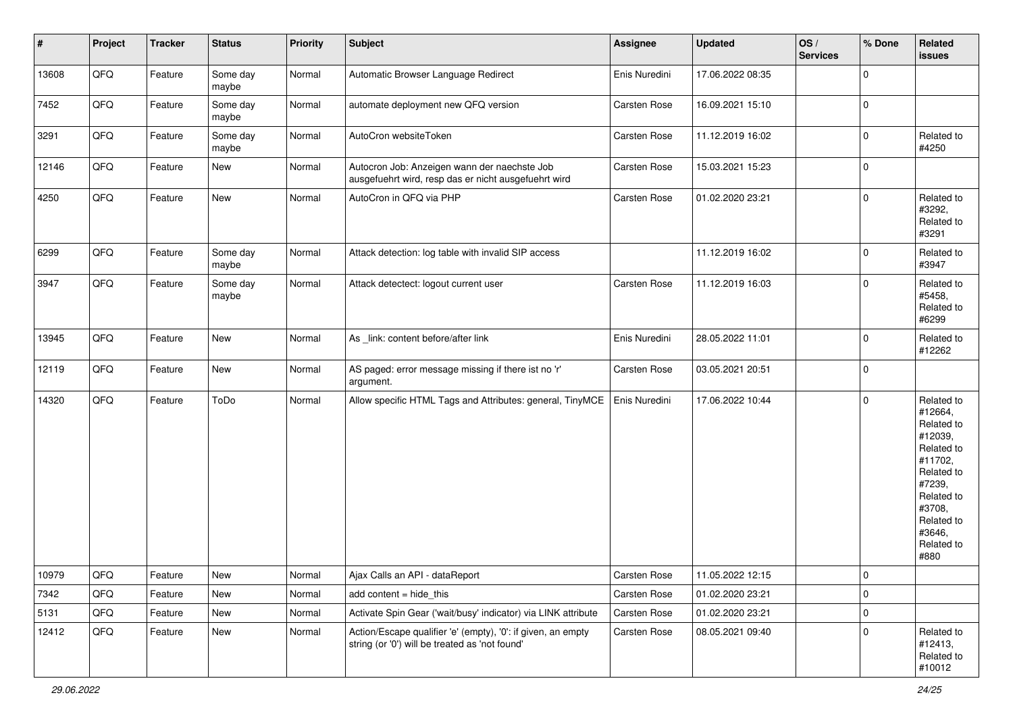| $\sharp$ | Project        | <b>Tracker</b> | <b>Status</b>     | <b>Priority</b> | <b>Subject</b>                                                                                                 | <b>Assignee</b> | <b>Updated</b>   | OS/<br><b>Services</b> | % Done       | Related<br><b>issues</b>                                                                                                                                              |
|----------|----------------|----------------|-------------------|-----------------|----------------------------------------------------------------------------------------------------------------|-----------------|------------------|------------------------|--------------|-----------------------------------------------------------------------------------------------------------------------------------------------------------------------|
| 13608    | QFQ            | Feature        | Some day<br>maybe | Normal          | Automatic Browser Language Redirect                                                                            | Enis Nuredini   | 17.06.2022 08:35 |                        | $\pmb{0}$    |                                                                                                                                                                       |
| 7452     | QFQ            | Feature        | Some day<br>maybe | Normal          | automate deployment new QFQ version                                                                            | Carsten Rose    | 16.09.2021 15:10 |                        | $\mathbf 0$  |                                                                                                                                                                       |
| 3291     | QFQ            | Feature        | Some day<br>maybe | Normal          | AutoCron websiteToken                                                                                          | Carsten Rose    | 11.12.2019 16:02 |                        | $\mathbf 0$  | Related to<br>#4250                                                                                                                                                   |
| 12146    | QFQ            | Feature        | New               | Normal          | Autocron Job: Anzeigen wann der naechste Job<br>ausgefuehrt wird, resp das er nicht ausgefuehrt wird           | Carsten Rose    | 15.03.2021 15:23 |                        | $\mathbf 0$  |                                                                                                                                                                       |
| 4250     | QFQ            | Feature        | New               | Normal          | AutoCron in QFQ via PHP                                                                                        | Carsten Rose    | 01.02.2020 23:21 |                        | $\mathbf 0$  | Related to<br>#3292,<br>Related to<br>#3291                                                                                                                           |
| 6299     | QFQ            | Feature        | Some day<br>maybe | Normal          | Attack detection: log table with invalid SIP access                                                            |                 | 11.12.2019 16:02 |                        | $\mathbf 0$  | Related to<br>#3947                                                                                                                                                   |
| 3947     | QFQ            | Feature        | Some day<br>maybe | Normal          | Attack detectect: logout current user                                                                          | Carsten Rose    | 11.12.2019 16:03 |                        | $\mathbf 0$  | Related to<br>#5458,<br>Related to<br>#6299                                                                                                                           |
| 13945    | QFQ            | Feature        | New               | Normal          | As _link: content before/after link                                                                            | Enis Nuredini   | 28.05.2022 11:01 |                        | $\mathbf 0$  | Related to<br>#12262                                                                                                                                                  |
| 12119    | QFQ            | Feature        | New               | Normal          | AS paged: error message missing if there ist no 'r'<br>argument.                                               | Carsten Rose    | 03.05.2021 20:51 |                        | $\mathbf 0$  |                                                                                                                                                                       |
| 14320    | QFQ            | Feature        | ToDo              | Normal          | Allow specific HTML Tags and Attributes: general, TinyMCE                                                      | Enis Nuredini   | 17.06.2022 10:44 |                        | $\mathbf 0$  | Related to<br>#12664,<br>Related to<br>#12039,<br>Related to<br>#11702,<br>Related to<br>#7239,<br>Related to<br>#3708,<br>Related to<br>#3646,<br>Related to<br>#880 |
| 10979    | $\mathsf{QFQ}$ | Feature        | New               | Normal          | Ajax Calls an API - dataReport                                                                                 | Carsten Rose    | 11.05.2022 12:15 |                        | $\mathsf{U}$ |                                                                                                                                                                       |
| 7342     | QFQ            | Feature        | New               | Normal          | add content = hide_this                                                                                        | Carsten Rose    | 01.02.2020 23:21 |                        | $\pmb{0}$    |                                                                                                                                                                       |
| 5131     | QFQ            | Feature        | New               | Normal          | Activate Spin Gear ('wait/busy' indicator) via LINK attribute                                                  | Carsten Rose    | 01.02.2020 23:21 |                        | $\pmb{0}$    |                                                                                                                                                                       |
| 12412    | QFQ            | Feature        | New               | Normal          | Action/Escape qualifier 'e' (empty), '0': if given, an empty<br>string (or '0') will be treated as 'not found' | Carsten Rose    | 08.05.2021 09:40 |                        | $\mathbf 0$  | Related to<br>#12413,<br>Related to<br>#10012                                                                                                                         |